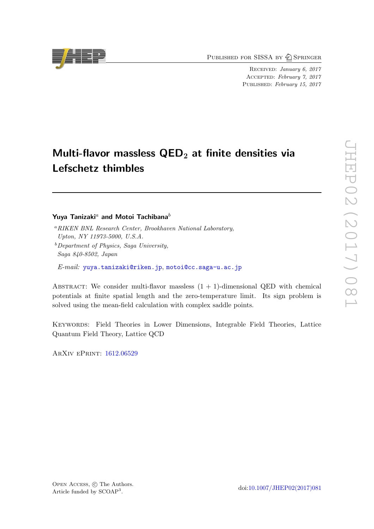PUBLISHED FOR SISSA BY 2 SPRINGER

Received: January 6, 2017 Accepted: February 7, 2017 PUBLISHED: February 15, 2017

# Multi-flavor massless  $\mathsf{QED}_2$  at finite densities via Lefschetz thimbles

## Yuya Tanizaki<sup>a</sup> and Motoi Tachibana<sup>b</sup>

- <sup>a</sup>RIKEN BNL Research Center, Brookhaven National Laboratory, Upton, NY 11973-5000, U.S.A.
- $b$ Department of Physics, Saga University, Saga 840-8502, Japan

E-mail: [yuya.tanizaki@riken.jp](mailto:yuya.tanizaki@riken.jp), [motoi@cc.saga-u.ac.jp](mailto:motoi@cc.saga-u.ac.jp)

ABSTRACT: We consider multi-flavor massless  $(1 + 1)$ -dimensional QED with chemical potentials at finite spatial length and the zero-temperature limit. Its sign problem is solved using the mean-field calculation with complex saddle points.

Keywords: Field Theories in Lower Dimensions, Integrable Field Theories, Lattice Quantum Field Theory, Lattice QCD

ArXiv ePrint: [1612.06529](https://arxiv.org/abs/1612.06529)

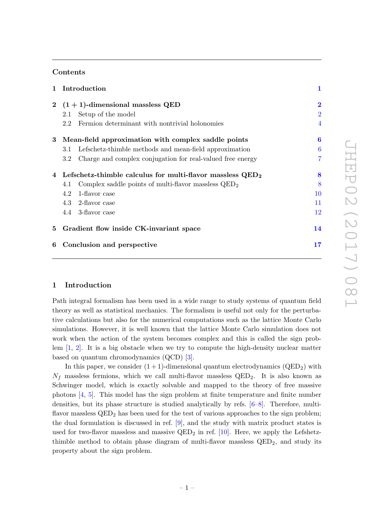## Contents

| 2 $(1 + 1)$ -dimensional massless QED                                 | $\overline{2}$     |
|-----------------------------------------------------------------------|--------------------|
|                                                                       |                    |
| 2.1                                                                   | $\overline{2}$     |
| Fermion determinant with nontrivial holonomies<br>$2.2^{\circ}$       | 4                  |
| Mean-field approximation with complex saddle points<br>3              | 6                  |
| Lefschetz-thimble methods and mean-field approximation<br>$3.1\,$     | 6                  |
| Charge and complex conjugation for real-valued free energy<br>$3.2\,$ |                    |
| 4 Lefschetz-thimble calculus for multi-flavor massless $QED_2$        | 8                  |
| Complex saddle points of multi-flavor massless $QED2$<br>4.1          | 8                  |
| 1-flavor case<br>4.2                                                  | 10                 |
| 4.3 2-flavor case                                                     | $11\,$             |
| 4.4 3-flavor case                                                     | $12\,$             |
| Gradient flow inside CK-invariant space<br>5                          | 14                 |
| Conclusion and perspective<br>6                                       | $\bf{17}$          |
|                                                                       | Setup of the model |

## <span id="page-1-0"></span>1 Introduction

Path integral formalism has been used in a wide range to study systems of quantum field theory as well as statistical mechanics. The formalism is useful not only for the perturbative calculations but also for the numerical computations such as the lattice Monte Carlo simulations. However, it is well known that the lattice Monte Carlo simulation does not work when the action of the system becomes complex and this is called the sign problem [\[1,](#page-18-0) [2\]](#page-18-1). It is a big obstacle when we try to compute the high-density nuclear matter based on quantum chromodynamics (QCD) [\[3\]](#page-18-2).

In this paper, we consider  $(1 + 1)$ -dimensional quantum electrodynamics  $(QED_2)$  with  $N_f$  massless fermions, which we call multi-flavor massless  $QED_2$ . It is also known as Schwinger model, which is exactly solvable and mapped to the theory of free massive photons [\[4,](#page-18-3) [5\]](#page-19-0). This model has the sign problem at finite temperature and finite number densities, but its phase structure is studied analytically by refs. [\[6–](#page-19-1)[8\]](#page-19-2). Therefore, multiflavor massless  $QED<sub>2</sub>$  has been used for the test of various approaches to the sign problem; the dual formulation is discussed in ref. [\[9\]](#page-19-3), and the study with matrix product states is used for two-flavor massless and massive  $QED_2$  in ref. [\[10\]](#page-19-4). Here, we apply the Lefshetzthimble method to obtain phase diagram of multi-flavor massless  $QED<sub>2</sub>$ , and study its property about the sign problem.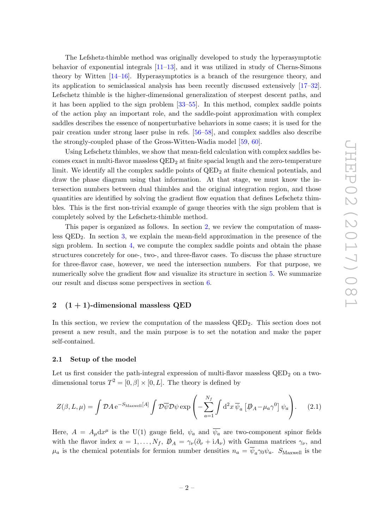The Lefshetz-thimble method was originally developed to study the hyperasymptotic behavior of exponential integrals [\[11](#page-19-5)[–13\]](#page-19-6), and it was utilized in study of Cherns-Simons theory by Witten [\[14](#page-19-7)[–16\]](#page-19-8). Hyperasymptotics is a branch of the resurgence theory, and its application to semiclassical analysis has been recently discussed extensively [\[17–](#page-19-9)[32\]](#page-20-0). Lefschetz thimble is the higher-dimensional generalization of steepest descent paths, and it has been applied to the sign problem [\[33–](#page-20-1)[55\]](#page-21-0). In this method, complex saddle points of the action play an important role, and the saddle-point approximation with complex saddles describes the essence of nonperturbative behaviors in some cases; it is used for the pair creation under strong laser pulse in refs. [\[56–](#page-21-1)[58\]](#page-21-2), and complex saddles also describe the strongly-coupled phase of the Gross-Witten-Wadia model [\[59,](#page-21-3) [60\]](#page-21-4).

Using Lefschetz thimbles, we show that mean-field calculation with complex saddles becomes exact in multi-flavor massless  $QED<sub>2</sub>$  at finite spacial length and the zero-temperature limit. We identify all the complex saddle points of  $QED<sub>2</sub>$  at finite chemical potentials, and draw the phase diagram using that information. At that stage, we must know the intersection numbers between dual thimbles and the original integration region, and those quantities are identified by solving the gradient flow equation that defines Lefschetz thimbles. This is the first non-trivial example of gauge theories with the sign problem that is completely solved by the Lefschetz-thimble method.

This paper is organized as follows. In section [2,](#page-2-0) we review the computation of massless  $QED<sub>2</sub>$ . In section [3,](#page-6-0) we explain the mean-field approximation in the presence of the sign problem. In section [4,](#page-8-0) we compute the complex saddle points and obtain the phase structures concretely for one-, two-, and three-flavor cases. To discuss the phase structure for three-flavor case, however, we need the intersection numbers. For that purpose, we numerically solve the gradient flow and visualize its structure in section [5.](#page-14-0) We summarize our result and discuss some perspectives in section [6.](#page-17-0)

## <span id="page-2-0"></span>2  $(1 + 1)$ -dimensional massless QED

In this section, we review the computation of the massless  $QED_2$ . This section does not present a new result, and the main purpose is to set the notation and make the paper self-contained.

#### <span id="page-2-1"></span>2.1 Setup of the model

Let us first consider the path-integral expression of multi-flavor massless  $QED<sub>2</sub>$  on a twodimensional torus  $T^2 = [0, \beta] \times [0, L]$ . The theory is defined by

$$
Z(\beta, L, \mu) = \int \mathcal{D}A \, \mathrm{e}^{-S_{\text{Maxwell}}[A]} \int \mathcal{D}\overline{\psi} \mathcal{D}\psi \exp\left(-\sum_{a=1}^{N_f} \int \mathrm{d}^2 x \, \overline{\psi}_a \left[\overline{\psi}_A - \mu_a \gamma^0\right] \psi_a\right). \tag{2.1}
$$

Here,  $A = A_{\mu} dx^{\mu}$  is the U(1) gauge field,  $\psi_a$  and  $\overline{\psi_a}$  are two-component spinor fields with the flavor index  $a = 1, \ldots, N_f$ ,  $\mathcal{D}_A = \gamma_\nu (\partial_\nu + i A_\nu)$  with Gamma matrices  $\gamma_\nu$ , and  $\mu_a$  is the chemical potentials for fermion number densities  $n_a = \overline{\psi}_a \gamma_0 \psi_a$ . S<sub>Maxwell</sub> is the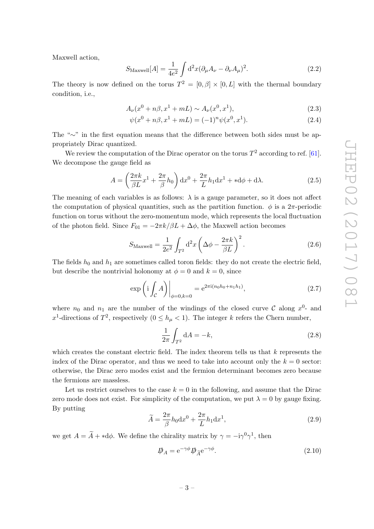Maxwell action,

$$
S_{\text{Maxwell}}[A] = \frac{1}{4e^2} \int d^2x (\partial_\mu A_\nu - \partial_\nu A_\mu)^2.
$$
 (2.2)

The theory is now defined on the torus  $T^2 = [0, \beta] \times [0, L]$  with the thermal boundary condition, i.e.,

$$
A_{\nu}(x^{0} + n\beta, x^{1} + mL) \sim A_{\nu}(x^{0}, x^{1}), \qquad (2.3)
$$

$$
\psi(x^{0} + n\beta, x^{1} + mL) = (-1)^{n} \psi(x^{0}, x^{1}).
$$
\n(2.4)

The "∼" in the first equation means that the difference between both sides must be appropriately Dirac quantized.

We review the computation of the Dirac operator on the torus  $T^2$  according to ref. [\[61\]](#page-22-0). We decompose the gauge field as

$$
A = \left(\frac{2\pi k}{\beta L}x^1 + \frac{2\pi}{\beta}h_0\right)dx^0 + \frac{2\pi}{L}h_1dx^1 + *d\phi + d\lambda.
$$
 (2.5)

The meaning of each variables is as follows:  $\lambda$  is a gauge parameter, so it does not affect the computation of physical quantities, such as the partition function.  $\phi$  is a 2π-periodic function on torus without the zero-momentum mode, which represents the local fluctuation of the photon field. Since  $F_{01} = -2\pi k/\beta L + \Delta\phi$ , the Maxwell action becomes

$$
S_{\text{Maxwell}} = \frac{1}{2e^2} \int_{T^2} d^2x \left( \Delta \phi - \frac{2\pi k}{\beta L} \right)^2.
$$
 (2.6)

The fields  $h_0$  and  $h_1$  are sometimes called toron fields: they do not create the electric field, but describe the nontrivial holonomy at  $\phi = 0$  and  $k = 0$ , since

$$
\exp\left(i \int_{\mathcal{C}} A\right)\Big|_{\phi=0,k=0} = e^{2\pi i (n_0 h_0 + n_1 h_1)},\tag{2.7}
$$

where  $n_0$  and  $n_1$  are the number of the windings of the closed curve C along  $x^0$ - and x<sup>1</sup>-directions of T<sup>2</sup>, respectively  $(0 \le h_{\mu} < 1)$ . The integer k refers the Chern number,

$$
\frac{1}{2\pi} \int_{T^2} dA = -k,\tag{2.8}
$$

which creates the constant electric field. The index theorem tells us that  $k$  represents the index of the Dirac operator, and thus we need to take into account only the  $k = 0$  sector: otherwise, the Dirac zero modes exist and the fermion determinant becomes zero because the fermions are massless.

Let us restrict ourselves to the case  $k = 0$  in the following, and assume that the Dirac zero mode does not exist. For simplicity of the computation, we put  $\lambda = 0$  by gauge fixing. By putting

$$
\widetilde{A} = \frac{2\pi}{\beta} h_0 \mathrm{d}x^0 + \frac{2\pi}{L} h_1 \mathrm{d}x^1,\tag{2.9}
$$

we get  $A = \tilde{A} + *d\phi$ . We define the chirality matrix by  $\gamma = -i\gamma^0\gamma^1$ , then

$$
\vec{\psi}_A = e^{-\gamma \phi} \vec{\psi}_{\tilde{A}} e^{-\gamma \phi}.
$$
\n(2.10)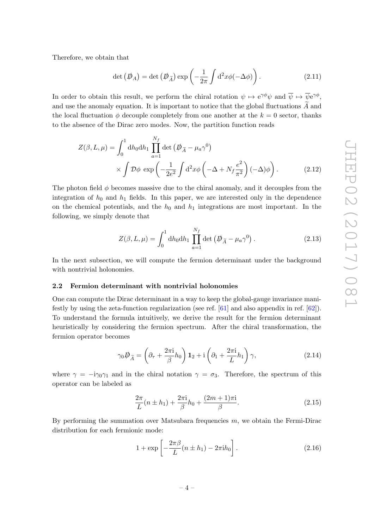Therefore, we obtain that

$$
\det\left(\rlap{\,/}\,/\,\rho\right) = \det\left(\rlap{\,/}\,/\,\rho\right) \exp\left(-\frac{1}{2\pi}\int d^2x \phi(-\Delta\phi)\right). \tag{2.11}
$$

In order to obtain this result, we perform the chiral rotation  $\psi \mapsto e^{\gamma \phi} \psi$  and  $\overline{\psi} \mapsto \overline{\psi} e^{\gamma \phi}$ , and use the anomaly equation. It is important to notice that the global fluctuations  $\widetilde{A}$  and the local fluctuation  $\phi$  decouple completely from one another at the  $k = 0$  sector, thanks to the absence of the Dirac zero modes. Now, the partition function reads

$$
Z(\beta, L, \mu) = \int_0^1 \mathrm{d}h_0 \mathrm{d}h_1 \prod_{a=1}^{N_f} \det \left( \mathcal{D}_{\tilde{A}} - \mu_a \gamma^0 \right) \times \int \mathcal{D}\phi \, \exp \left( -\frac{1}{2e^2} \int \mathrm{d}^2 x \phi \left( -\Delta + N_f \frac{e^2}{\pi^2} \right) (-\Delta) \phi \right). \tag{2.12}
$$

The photon field  $\phi$  becomes massive due to the chiral anomaly, and it decouples from the integration of  $h_0$  and  $h_1$  fields. In this paper, we are interested only in the dependence on the chemical potentials, and the  $h_0$  and  $h_1$  integrations are most important. In the following, we simply denote that

<span id="page-4-1"></span>
$$
Z(\beta, L, \mu) = \int_0^1 dh_0 dh_1 \prod_{a=1}^{N_f} \det \left( \not{D}_{\tilde{A}} - \mu_a \gamma^0 \right).
$$
 (2.13)

In the next subsection, we will compute the fermion determinant under the background with nontrivial holonomies.

## <span id="page-4-0"></span>2.2 Fermion determinant with nontrivial holonomies

One can compute the Dirac determinant in a way to keep the global-gauge invariance manifestly by using the zeta-function regularization (see ref. [\[61\]](#page-22-0) and also appendix in ref. [\[62\]](#page-22-1)). To understand the formula intuitively, we derive the result for the fermion determinant heuristically by considering the fermion spectrum. After the chiral transformation, the fermion operator becomes

$$
\gamma_0 \not\!\!\!D_{\widetilde{A}} = \left(\partial_\tau + \frac{2\pi i}{\beta} h_0\right) \mathbf{1}_2 + \mathrm{i} \left(\partial_1 + \frac{2\pi i}{L} h_1\right) \gamma,\tag{2.14}
$$

where  $\gamma = -i\gamma_0\gamma_1$  and in the chiral notation  $\gamma = \sigma_3$ . Therefore, the spectrum of this operator can be labeled as

$$
\frac{2\pi}{L}(n \pm h_1) + \frac{2\pi i}{\beta}h_0 + \frac{(2m+1)\pi i}{\beta}.
$$
\n(2.15)

By performing the summation over Matsubara frequencies  $m$ , we obtain the Fermi-Dirac distribution for each fermionic mode:

$$
1 + \exp\left[-\frac{2\pi\beta}{L}(n \pm h_1) - 2\pi i h_0\right].
$$
\n(2.16)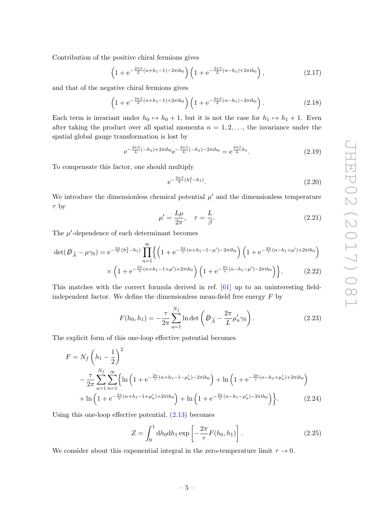Contribution of the positive chiral fermions gives

$$
\left(1 + e^{-\frac{2\pi\beta}{L}(n+h_1-1) - 2\pi i h_0}\right) \left(1 + e^{-\frac{2\pi\beta}{L}(n-h_1) + 2\pi i h_0}\right),\tag{2.17}
$$

and that of the negative chiral fermions gives

$$
\left(1 + e^{-\frac{2\pi\beta}{L}(n+h_1-1) + 2\pi i h_0}\right) \left(1 + e^{-\frac{2\pi\beta}{L}(n-h_1) - 2\pi i h_0}\right). \tag{2.18}
$$

Each term is invariant under  $h_0 \mapsto h_0 + 1$ , but it is not the case for  $h_1 \mapsto h_1 + 1$ . Even after taking the product over all spatial momenta  $n = 1, 2, \ldots$ , the invariance under the spatial global gauge transformation is lost by

$$
e^{-\frac{2\pi\beta}{L}(-h_1) + 2\pi i h_0} e^{-\frac{2\pi\beta}{L}(-h_1) - 2\pi i h_0} = e^{\frac{4\pi\beta}{L}h_1}.
$$
 (2.19)

To compensate this factor, one should multiply

$$
e^{-\frac{2\pi\beta}{L}(h_1^2 - h_1)}.
$$
\n(2.20)

We introduce the dimensionless chemical potential  $\mu'$  and the dimensionless temperature  $\tau$  by

$$
\mu' = \frac{L\mu}{2\pi}, \quad \tau = \frac{L}{\beta}.\tag{2.21}
$$

The  $\mu'$ -dependence of each determinant becomes

$$
\det(\mathcal{D}_{\tilde{A}} - \mu \gamma_0) = e^{-\frac{2\pi}{\tau}(h_1^2 - h_1)} \prod_{n=1}^{\infty} \left\{ \left( 1 + e^{-\frac{2\pi}{\tau}(n + h_1 - 1 - \mu') - 2\pi i h_0} \right) \left( 1 + e^{-\frac{2\pi}{\tau}(n - h_1 + \mu') + 2\pi i h_0} \right) \right\}
$$

$$
\times \left( 1 + e^{-\frac{2\pi}{\tau}(n + h_1 - 1 + \mu') + 2\pi i h_0} \right) \left( 1 + e^{-\frac{2\pi}{\tau}(n - h_1 - \mu') - 2\pi i h_0} \right) \right\}.
$$
(2.22)

This matches with the correct formula derived in ref. [\[61\]](#page-22-0) up to an uninteresting fieldindependent factor. We define the dimensionless mean-field free energy  $F$  by

$$
F(h_0, h_1) = -\frac{\tau}{2\pi} \sum_{a=1}^{N_f} \ln \det \left( \not{D}_{\widetilde{A}} - \frac{2\pi}{L} \mu'_a \gamma_0 \right).
$$
 (2.23)

The explicit form of this one-loop effective potential becomes

$$
F = N_f \left( h_1 - \frac{1}{2} \right)^2
$$
  

$$
- \frac{\tau}{2\pi} \sum_{a=1}^{N_f} \sum_{n=1}^{\infty} \left\{ \ln \left( 1 + e^{-\frac{2\pi}{\tau} (n + h_1 - 1 - \mu_a') - 2\pi i h_0} \right) + \ln \left( 1 + e^{-\frac{2\pi}{\tau} (n - h_1 + \mu_a') + 2\pi i h_0} \right) \right.
$$
  

$$
+ \ln \left( 1 + e^{-\frac{2\pi}{\tau} (n + h_1 - 1 + \mu_a') + 2\pi i h_0} \right) + \ln \left( 1 + e^{-\frac{2\pi}{\tau} (n - h_1 - \mu_a') - 2\pi i h_0} \right) \right\}.
$$
 (2.24)

Using this one-loop effective potential, [\(2.13\)](#page-4-1) becomes

<span id="page-5-1"></span><span id="page-5-0"></span>
$$
Z = \int_0^1 \mathrm{d}h_0 \mathrm{d}h_1 \exp\left[-\frac{2\pi}{\tau}F(h_0, h_1)\right].\tag{2.25}
$$

We consider about this exponential integral in the zero-temperature limit  $\tau \to 0$ .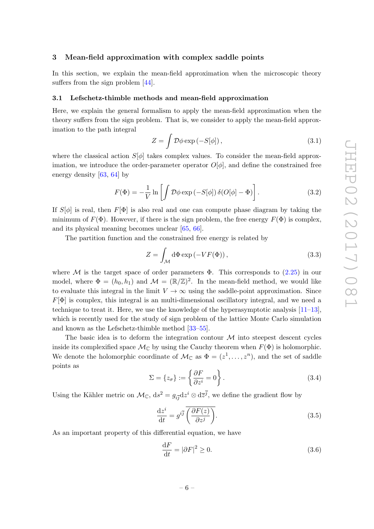## <span id="page-6-0"></span>3 Mean-field approximation with complex saddle points

In this section, we explain the mean-field approximation when the microscopic theory suffers from the sign problem [\[44\]](#page-21-5).

#### <span id="page-6-1"></span>3.1 Lefschetz-thimble methods and mean-field approximation

Here, we explain the general formalism to apply the mean-field approximation when the theory suffers from the sign problem. That is, we consider to apply the mean-field approximation to the path integral

$$
Z = \int \mathcal{D}\phi \exp(-S[\phi]), \qquad (3.1)
$$

where the classical action  $S[\phi]$  takes complex values. To consider the mean-field approximation, we introduce the order-parameter operator  $O[\phi]$ , and define the constrained free energy density [\[63,](#page-22-2) [64\]](#page-22-3) by

$$
F(\Phi) = -\frac{1}{V} \ln \left[ \int \mathcal{D}\phi \exp(-S[\phi]) \,\delta(O[\phi] - \Phi) \right]. \tag{3.2}
$$

If  $S[\phi]$  is real, then  $F[\Phi]$  is also real and one can compute phase diagram by taking the minimum of  $F(\Phi)$ . However, if there is the sign problem, the free energy  $F(\Phi)$  is complex, and its physical meaning becomes unclear [\[65,](#page-22-4) [66\]](#page-22-5).

The partition function and the constrained free energy is related by

$$
Z = \int_{\mathcal{M}} d\Phi \exp(-VF(\Phi)), \qquad (3.3)
$$

where M is the target space of order parameters  $\Phi$ . This corresponds to [\(2.25\)](#page-5-0) in our model, where  $\Phi = (h_0, h_1)$  and  $\mathcal{M} = (\mathbb{R}/\mathbb{Z})^2$ . In the mean-field method, we would like to evaluate this integral in the limit  $V \to \infty$  using the saddle-point approximation. Since  $F[\Phi]$  is complex, this integral is an multi-dimensional oscillatory integral, and we need a technique to treat it. Here, we use the knowledge of the hyperasymptotic analysis  $[11-13]$  $[11-13]$ , which is recently used for the study of sign problem of the lattice Monte Carlo simulation and known as the Lefschetz-thimble method [\[33–](#page-20-1)[55\]](#page-21-0).

The basic idea is to deform the integration contour  $\mathcal M$  into steepest descent cycles inside its complexified space  $\mathcal{M}_{\mathbb{C}}$  by using the Cauchy theorem when  $F(\Phi)$  is holomorphic. We denote the holomorphic coordinate of  $\mathcal{M}_{\mathbb{C}}$  as  $\Phi = (z^1, \ldots, z^n)$ , and the set of saddle points as

$$
\Sigma = \{z_{\sigma}\} := \left\{\frac{\partial F}{\partial z^i} = 0\right\}.
$$
\n(3.4)

Using the Kähler metric on  $\mathcal{M}_{\mathbb{C}}$ ,  $ds^2 = g_{i\overline{j}} dz^i \otimes d\overline{z}^{\overline{j}}$ , we define the gradient flow by

<span id="page-6-2"></span>
$$
\frac{\mathrm{d}z^{i}}{\mathrm{d}t} = g^{i\overline{j}} \overline{\left(\frac{\partial F(z)}{\partial z^{j}}\right)}.
$$
\n(3.5)

As an important property of this differential equation, we have

$$
\frac{\mathrm{d}F}{\mathrm{d}t} = |\partial F|^2 \ge 0. \tag{3.6}
$$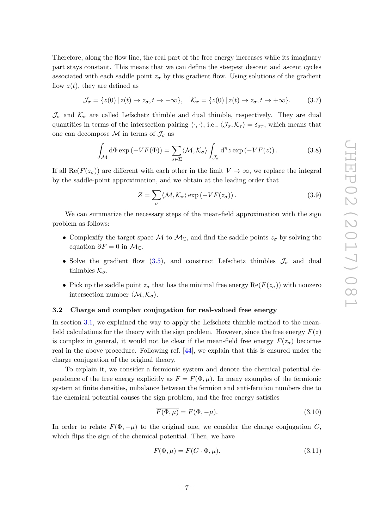Therefore, along the flow line, the real part of the free energy increases while its imaginary part stays constant. This means that we can define the steepest descent and ascent cycles associated with each saddle point  $z_{\sigma}$  by this gradient flow. Using solutions of the gradient flow  $z(t)$ , they are defined as

$$
\mathcal{J}_{\sigma} = \{z(0) \mid z(t) \to z_{\sigma}, t \to -\infty\}, \quad \mathcal{K}_{\sigma} = \{z(0) \mid z(t) \to z_{\sigma}, t \to +\infty\}.
$$
 (3.7)

 $\mathcal{J}_{\sigma}$  and  $\mathcal{K}_{\sigma}$  are called Lefschetz thimble and dual thimble, respectively. They are dual quantities in terms of the intersection pairing  $\langle \cdot, \cdot \rangle$ , i.e.,  $\langle \mathcal{J}_{\sigma}, \mathcal{K}_{\tau} \rangle = \delta_{\sigma \tau}$ , which means that one can decompose M in terms of  $\mathcal{J}_{\sigma}$  as

$$
\int_{\mathcal{M}} d\Phi \exp(-VF(\Phi)) = \sum_{\sigma \in \Sigma} \langle \mathcal{M}, \mathcal{K}_{\sigma} \rangle \int_{\mathcal{J}_{\sigma}} d^{n} z \exp(-VF(z)). \tag{3.8}
$$

If all Re( $F(z_{\sigma})$ ) are different with each other in the limit  $V \to \infty$ , we replace the integral by the saddle-point approximation, and we obtain at the leading order that

<span id="page-7-1"></span>
$$
Z = \sum_{\sigma} \langle \mathcal{M}, \mathcal{K}_{\sigma} \rangle \exp\left(-VF(z_{\sigma})\right). \tag{3.9}
$$

We can summarize the necessary steps of the mean-field approximation with the sign problem as follows:

- Complexify the target space M to  $\mathcal{M}_{\mathbb{C}}$ , and find the saddle points  $z_{\sigma}$  by solving the equation  $\partial F = 0$  in  $\mathcal{M}_{\mathbb{C}}$ .
- Solve the gradient flow [\(3.5\)](#page-6-2), and construct Lefschetz thimbles  $\mathcal{J}_{\sigma}$  and dual thimbles  $\mathcal{K}_{\sigma}$ .
- Pick up the saddle point  $z_{\sigma}$  that has the minimal free energy  $\text{Re}(F(z_{\sigma}))$  with nonzero intersection number  $\langle \mathcal{M}, \mathcal{K}_{\sigma} \rangle$ .

#### <span id="page-7-0"></span>3.2 Charge and complex conjugation for real-valued free energy

In section [3.1,](#page-6-1) we explained the way to apply the Lefschetz thimble method to the meanfield calculations for the theory with the sign problem. However, since the free energy  $F(z)$ is complex in general, it would not be clear if the mean-field free energy  $F(z_{\sigma})$  becomes real in the above procedure. Following ref. [\[44\]](#page-21-5), we explain that this is ensured under the charge conjugation of the original theory.

To explain it, we consider a fermionic system and denote the chemical potential dependence of the free energy explicitly as  $F = F(\Phi, \mu)$ . In many examples of the fermionic system at finite densities, unbalance between the fermion and anti-fermion numbers due to the chemical potential causes the sign problem, and the free energy satisfies

$$
\overline{F(\Phi,\mu)} = F(\Phi,-\mu). \tag{3.10}
$$

In order to relate  $F(\Phi, -\mu)$  to the original one, we consider the charge conjugation C, which flips the sign of the chemical potential. Then, we have

$$
\overline{F(\Phi,\mu)} = F(C \cdot \Phi,\mu). \tag{3.11}
$$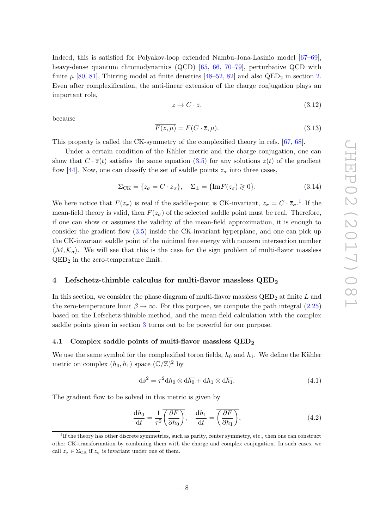Indeed, this is satisfied for Polyakov-loop extended Nambu-Jona-Lasinio model [\[67–](#page-22-6)[69\]](#page-22-7), heavy-dense quantum chromodynamics (QCD) [\[65,](#page-22-4) [66,](#page-22-5) [70–](#page-22-8)[79\]](#page-22-9), perturbative QCD with finite  $\mu$  [\[80,](#page-23-0) [81\]](#page-23-1), Thirring model at finite densities [\[48–](#page-21-6)[52,](#page-21-7) [82\]](#page-23-2) and also QED<sub>2</sub> in section [2.](#page-2-0) Even after complexification, the anti-linear extension of the charge conjugation plays an important role,

$$
z \mapsto C \cdot \overline{z},\tag{3.12}
$$

because

$$
\overline{F(z,\mu)} = F(C \cdot \overline{z}, \mu). \tag{3.13}
$$

This property is called the CK-symmetry of the complexified theory in refs. [\[67,](#page-22-6) [68\]](#page-22-10).

Under a certain condition of the Kähler metric and the charge conjugation, one can show that  $C \cdot \overline{z}(t)$  satisfies the same equation [\(3.5\)](#page-6-2) for any solutions  $z(t)$  of the gradient flow [\[44\]](#page-21-5). Now, one can classify the set of saddle points  $z_{\sigma}$  into three cases,

$$
\Sigma_{\rm CK} = \{z_{\sigma} = C \cdot \overline{z}_{\sigma}\}, \quad \Sigma_{\pm} = \{\text{Im}F(z_{\sigma}) \geq 0\}.
$$
 (3.14)

We here notice that  $F(z_{\sigma})$  is real if the saddle-point is CK-invariant,  $z_{\sigma} = C \cdot \overline{z}_{\sigma}$ .<sup>[1](#page-8-2)</sup> If the mean-field theory is valid, then  $F(z_{\sigma})$  of the selected saddle point must be real. Therefore, if one can show or assumes the validity of the mean-field approximation, it is enough to consider the gradient flow [\(3.5\)](#page-6-2) inside the CK-invariant hyperplane, and one can pick up the CK-invariant saddle point of the minimal free energy with nonzero intersection number  $\langle M, \mathcal{K}_{\sigma} \rangle$ . We will see that this is the case for the sign problem of multi-flavor massless  $QED<sub>2</sub>$  in the zero-temperature limit.

## <span id="page-8-0"></span>4 Lefschetz-thimble calculus for multi-flavor massless  $QED_2$

In this section, we consider the phase diagram of multi-flavor massless  $QED_2$  at finite L and the zero-temperature limit  $\beta \to \infty$ . For this purpose, we compute the path integral [\(2.25\)](#page-5-0) based on the Lefschetz-thimble method, and the mean-field calculation with the complex saddle points given in section [3](#page-6-0) turns out to be powerful for our purpose.

#### <span id="page-8-1"></span>4.1 Complex saddle points of multi-flavor massless  $\text{QED}_2$

We use the same symbol for the complexified toron fields,  $h_0$  and  $h_1$ . We define the Kähler metric on complex  $(h_0, h_1)$  space  $(\mathbb{C}/\mathbb{Z})^2$  by

$$
ds^{2} = \tau^{2} dh_{0} \otimes d\overline{h_{0}} + dh_{1} \otimes d\overline{h_{1}}.
$$
\n(4.1)

The gradient flow to be solved in this metric is given by

<span id="page-8-3"></span>
$$
\frac{dh_0}{dt} = \frac{1}{\tau^2} \overline{\left(\frac{\partial F}{\partial h_0}\right)}, \quad \frac{dh_1}{dt} = \overline{\left(\frac{\partial F}{\partial h_1}\right)},\tag{4.2}
$$

<span id="page-8-2"></span><sup>&</sup>lt;sup>1</sup>If the theory has other discrete symmetries, such as parity, center symmetry, etc., then one can construct other CK-transformation by combining them with the charge and complex conjugation. In such cases, we call  $z_{\sigma} \in \Sigma_{CK}$  if  $z_{\sigma}$  is invariant under one of them.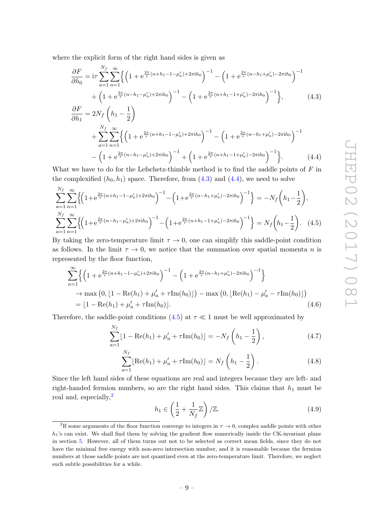where the explicit form of the right hand sides is given as

<span id="page-9-1"></span><span id="page-9-0"></span>
$$
\frac{\partial F}{\partial h_0} = i\tau \sum_{a=1}^{N_f} \sum_{n=1}^{\infty} \left\{ \left( 1 + e^{\frac{2\pi}{\tau} (n + h_1 - 1 - \mu'_a) + 2\pi i h_0} \right)^{-1} - \left( 1 + e^{\frac{2\pi}{\tau} (n - h_1 + \mu'_a) - 2\pi i h_0} \right)^{-1} \right. \\
\left. + \left( 1 + e^{\frac{2\pi}{\tau} (n - h_1 - \mu'_a) + 2\pi i h_0} \right)^{-1} - \left( 1 + e^{\frac{2\pi}{\tau} (n + h_1 - 1 + \mu'_a) - 2\pi i h_0} \right)^{-1} \right\}, \qquad (4.3)
$$
\n
$$
\frac{\partial F}{\partial h_1} = 2N_f \left( h_1 - \frac{1}{2} \right) \\
+ \sum_{a=1}^{N_f} \sum_{n=1}^{\infty} \left\{ \left( 1 + e^{\frac{2\pi}{\tau} (n + h_1 - 1 - \mu'_a) + 2\pi i h_0} \right)^{-1} - \left( 1 + e^{\frac{2\pi}{\tau} (n - h_1 + \mu'_a) - 2\pi i h_0} \right)^{-1} - \left( 1 + e^{\frac{2\pi}{\tau} (n - h_1 + \mu'_a) - 2\pi i h_0} \right)^{-1} - \left( 1 + e^{\frac{2\pi}{\tau} (n - h_1 - \mu'_a) + 2\pi i h_0} \right)^{-1} + \left( 1 + e^{\frac{2\pi}{\tau} (n + h_1 - 1 + \mu'_a) - 2\pi i h_0} \right)^{-1} \right\}. \qquad (4.4)
$$

What we have to do for the Lefschetz-thimble method is to find the saddle points of  $F$  in the complexified  $(h_0, h_1)$  space. Therefore, from  $(4.3)$  and  $(4.4)$ , we need to solve

$$
\sum_{a=1}^{N_f} \sum_{n=1}^{\infty} \left\{ \left( 1 + e^{\frac{2\pi}{\tau} (n+h_1 - 1 - \mu'_a) + 2\pi i h_0} \right)^{-1} - \left( 1 + e^{\frac{2\pi}{\tau} (n-h_1 + \mu'_a) - 2\pi i h_0} \right)^{-1} \right\} = -N_f \left( h_1 - \frac{1}{2} \right),
$$
\n
$$
\sum_{a=1}^{N_f} \sum_{n=1}^{\infty} \left\{ \left( 1 + e^{\frac{2\pi}{\tau} (n-h_1 - \mu'_a) + 2\pi i h_0} \right)^{-1} - \left( 1 + e^{\frac{2\pi}{\tau} (n+h_1 - 1 + \mu'_a) - 2\pi i h_0} \right)^{-1} \right\} = N_f \left( h_1 - \frac{1}{2} \right). \tag{4.5}
$$

By taking the zero-temperature limit  $\tau \to 0$ , one can simplify this saddle-point condition as follows. In the limit  $\tau \to 0$ , we notice that the summation over spatial momenta n is represented by the floor function,

$$
\sum_{n=1}^{\infty} \left\{ \left( 1 + e^{\frac{2\pi}{\tau} (n+h_1 - 1 - \mu_a') + 2\pi i h_0} \right)^{-1} - \left( 1 + e^{\frac{2\pi}{\tau} (n-h_1 + \mu_a') - 2\pi i h_0} \right)^{-1} \right\}
$$
  
\n
$$
\to \max \left( 0, \left[ 1 - \text{Re}(h_1) + \mu_a' + \tau \text{Im}(h_0) \right] \right) - \max \left( 0, \left[ \text{Re}(h_1) - \mu_a' - \tau \text{Im}(h_0) \right] \right)
$$
  
\n
$$
= \left[ 1 - \text{Re}(h_1) + \mu_a' + \tau \text{Im}(h_0) \right]. \tag{4.6}
$$

Therefore, the saddle-point conditions [\(4.5\)](#page-9-2) at  $\tau \ll 1$  must be well approximated by

<span id="page-9-2"></span>
$$
\sum_{a=1}^{N_f} \lfloor 1 - \text{Re}(h_1) + \mu'_a + \tau \text{Im}(h_0) \rfloor = -N_f \left( h_1 - \frac{1}{2} \right),\tag{4.7}
$$

$$
\sum_{a=1}^{N_f} \left[ \text{Re}(h_1) + \mu'_a + \tau \text{Im}(h_0) \right] = N_f \left( h_1 - \frac{1}{2} \right). \tag{4.8}
$$

Since the left hand sides of these equations are real and integers because they are left- and right-handed fermion numbers, so are the right hand sides. This claims that  $h_1$  must be real and, especially,<sup>[2](#page-9-3)</sup>

<span id="page-9-6"></span><span id="page-9-5"></span><span id="page-9-4"></span>
$$
h_1 \in \left(\frac{1}{2} + \frac{1}{N_f} \mathbb{Z}\right) / \mathbb{Z}.\tag{4.9}
$$

<span id="page-9-3"></span><sup>&</sup>lt;sup>2</sup>If some arguments of the floor function converge to integers in  $\tau \to 0$ , complex saddle points with other  $h_1$ 's can exist. We shall find them by solving the gradient flow numerically inside the CK-invariant plane in section [5.](#page-14-0) However, all of them turns out not to be selected as correct mean fields, since they do not have the minimal free energy with non-zero intersection number, and it is reasonable because the fermion numbers at those saddle points are not quantized even at the zero-temperature limit. Therefore, we neglect such subtle possibilities for a while.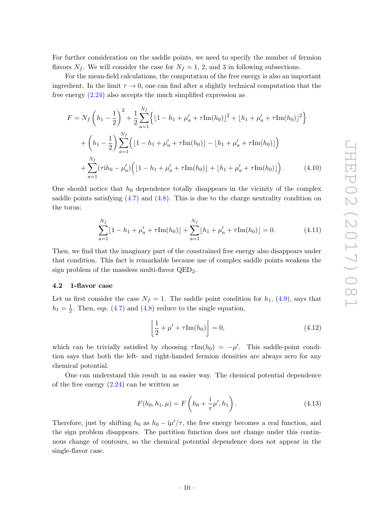For further consideration on the saddle points, we need to specify the number of fermion flavors  $N_f$ . We will consider the case for  $N_f = 1, 2$ , and 3 in following subsections.

For the mean-field calculations, the computation of the free energy is also an important ingredient. In the limit  $\tau \to 0$ , one can find after a slightly technical computation that the free energy  $(2.24)$  also accepts the much simplified expression as

$$
F = N_f \left( h_1 - \frac{1}{2} \right)^2 + \frac{1}{2} \sum_{a=1}^{N_f} \left\{ \left[ 1 - h_1 + \mu_a' + \tau \text{Im}(h_0) \right]^2 + \left[ h_1 + \mu_a' + \tau \text{Im}(h_0) \right]^2 \right\} + \left( h_1 - \frac{1}{2} \right) \sum_{a=1}^{N_f} \left( \left[ 1 - h_1 + \mu_a' + \tau \text{Im}(h_0) \right] - \left[ h_1 + \mu_a' + \tau \text{Im}(h_0) \right] \right) + \sum_{a=1}^{N_f} (\tau i h_0 - \mu_a') \left( \left[ 1 - h_1 + \mu_a' + \tau \text{Im}(h_0) \right] + \left[ h_1 + \mu_a' + \tau \text{Im}(h_0) \right] \right).
$$
(4.10)

One should notice that  $h_0$  dependence totally disappears in the vicinity of the complex saddle points satisfying  $(4.7)$  and  $(4.8)$ . This is due to the charge neutrality condition on the torus;

$$
\sum_{a=1}^{N_f} \lfloor 1 - h_1 + \mu'_a + \tau \text{Im}(h_0) \rfloor + \sum_{a=1}^{N_f} \lfloor h_1 + \mu'_a + \tau \text{Im}(h_0) \rfloor = 0.
$$
 (4.11)

Then, we find that the imaginary part of the constrained free energy also disappears under that condition. This fact is remarkable because use of complex saddle points weakens the sign problem of the massless multi-flavor QED2.

## <span id="page-10-0"></span>4.2 1-flavor case

Let us first consider the case  $N_f = 1$ . The saddle point condition for  $h_1$ , [\(4.9\)](#page-9-6), says that  $h_1 = \frac{1}{2}$  $\frac{1}{2}$ . Then, eqs. [\(4.7\)](#page-9-4) and [\(4.8\)](#page-9-5) reduce to the single equation,

<span id="page-10-1"></span>
$$
\left\lfloor \frac{1}{2} + \mu' + \tau \operatorname{Im}(h_0) \right\rfloor = 0, \tag{4.12}
$$

which can be trivially satisfied by choosing  $\tau \text{Im}(h_0) = -\mu'$ . This saddle-point condition says that both the left- and right-handed fermion densities are always zero for any chemical potential.

One can understand this result in an easier way. The chemical potential dependence of the free energy  $(2.24)$  can be written as

$$
F(h_0, h_1, \mu) = F\left(h_0 + \frac{1}{\tau}\mu', h_1\right).
$$
 (4.13)

Therefore, just by shifting  $h_0$  as  $h_0 - \mathrm{i}\mu'/\tau$ , the free energy becomes a real function, and the sign problem disappears. The partition function does not change under this continuous change of contours, so the chemical potential dependence does not appear in the single-flavor case.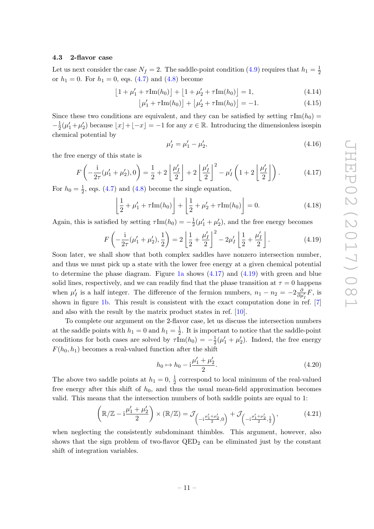#### <span id="page-11-0"></span>4.3 2-flavor case

Let us next consider the case  $N_f = 2$ . The saddle-point condition [\(4.9\)](#page-9-6) requires that  $h_1 = \frac{1}{2}$ 2 or  $h_1 = 0$ . For  $h_1 = 0$ , eqs. [\(4.7\)](#page-9-4) and [\(4.8\)](#page-9-5) become

$$
\[1 + \mu'_1 + \tau \text{Im}(h_0)\] + \[1 + \mu'_2 + \tau \text{Im}(h_0)\] = 1,\tag{4.14}
$$

$$
\left[\mu'_1 + \tau \text{Im}(h_0)\right] + \left[\mu'_2 + \tau \text{Im}(h_0)\right] = -1. \tag{4.15}
$$

Since these two conditions are equivalent, and they can be satisfied by setting  $\tau Im(h_0)$  =  $-\frac{1}{2}$  $\frac{1}{2}(\mu'_1 + \mu'_2)$  because  $\lfloor x \rfloor + \lfloor -x \rfloor = -1$  for any  $x \in \mathbb{R}$ . Introducing the dimensionless isospin chemical potential by

$$
\mu'_I = \mu'_1 - \mu'_2,\tag{4.16}
$$

the free energy of this state is

<span id="page-11-1"></span>
$$
F\left(-\frac{\mathrm{i}}{2\tau}(\mu_1'+\mu_2'),0\right) = \frac{1}{2} + 2\left\lfloor \frac{\mu_1'}{2} \right\rfloor + 2\left\lfloor \frac{\mu_1'}{2} \right\rfloor^2 - \mu_1'\left(1+2\left\lfloor \frac{\mu_1'}{2} \right\rfloor\right). \tag{4.17}
$$

For  $h_0 = \frac{1}{2}$  $\frac{1}{2}$ , eqs. [\(4.7\)](#page-9-4) and [\(4.8\)](#page-9-5) become the single equation,

$$
\left[\frac{1}{2} + \mu'_1 + \tau \text{Im}(h_0)\right] + \left[\frac{1}{2} + \mu'_2 + \tau \text{Im}(h_0)\right] = 0.
$$
 (4.18)

Again, this is satisfied by setting  $\tau \text{Im}(h_0) = -\frac{1}{2}$  $\frac{1}{2}(\mu'_1 + \mu'_2)$ , and the free energy becomes

<span id="page-11-2"></span>
$$
F\left(-\frac{1}{2\tau}(\mu'_1+\mu'_2),\frac{1}{2}\right) = 2\left[\frac{1}{2}+\frac{\mu'_I}{2}\right]^2 - 2\mu'_I\left[\frac{1}{2}+\frac{\mu'_I}{2}\right].
$$
\n(4.19)

Soon later, we shall show that both complex saddles have nonzero intersection number, and thus we must pick up a state with the lower free energy at a given chemical potential to determine the phase diagram. Figure [1a](#page-12-1) shows [\(4.17\)](#page-11-1) and [\(4.19\)](#page-11-2) with green and blue solid lines, respectively, and we can readily find that the phase transition at  $\tau = 0$  happens when  $\mu'_I$  is a half integer. The difference of the fermion numbers,  $n_1 - n_2 = -2 \frac{\partial}{\partial \mu'_I} F$ , is shown in figure [1b.](#page-12-2) This result is consistent with the exact computation done in ref. [\[7\]](#page-19-10) and also with the result by the matrix product states in ref. [\[10\]](#page-19-4).

To complete our argument on the 2-flavor case, let us discuss the intersection numbers at the saddle points with  $h_1 = 0$  and  $h_1 = \frac{1}{2}$  $\frac{1}{2}$ . It is important to notice that the saddle-point conditions for both cases are solved by  $\tau \text{Im}(h_0) = -\frac{1}{2}$  $\frac{1}{2}(\mu'_1 + \mu'_2)$ . Indeed, the free energy  $F(h_0, h_1)$  becomes a real-valued function after the shift

$$
h_0 \mapsto h_0 - i\frac{\mu'_1 + \mu'_2}{2}.\tag{4.20}
$$

The above two saddle points at  $h_1 = 0, \frac{1}{2}$  $\frac{1}{2}$  correspond to local minimum of the real-valued free energy after this shift of  $h_0$ , and thus the usual mean-field approximation becomes valid. This means that the intersection numbers of both saddle points are equal to 1:

$$
\left(\mathbb{R}/\mathbb{Z} - i\frac{\mu'_1 + \mu'_2}{2}\right) \times \left(\mathbb{R}/\mathbb{Z}\right) = \mathcal{J}_{\left(-i\frac{\mu'_1 + \mu'_2}{2}, 0\right)} + \mathcal{J}_{\left(-i\frac{\mu'_1 + \mu'_2}{2}, \frac{1}{2}\right)},\tag{4.21}
$$

when neglecting the consistently subdominant thimbles. This argument, however, also shows that the sign problem of two-flavor  $QED<sub>2</sub>$  can be eliminated just by the constant shift of integration variables.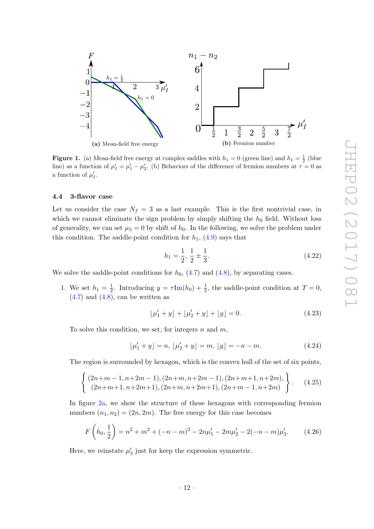<span id="page-12-2"></span><span id="page-12-1"></span>

**Figure 1.** (a) Mean-field free energy at complex saddles with  $h_1 = 0$  (green line) and  $h_1 = \frac{1}{2}$  (blue) line) as a function of  $\mu'_I = \mu'_1 - \mu'_2$ . (b) Behaviors of the difference of fermion numbers at  $\tau = 0$  as a function of  $\mu'_I$ .

## <span id="page-12-0"></span>4.4 3-flavor case

Let us consider the case  $N_f = 3$  as a last example. This is the first nontrivial case, in which we cannot eliminate the sign problem by simply shifting the  $h_0$  field. Without loss of generality, we can set  $\mu_3 = 0$  by shift of  $h_0$ . In the following, we solve the problem under this condition. The saddle-point condition for  $h_1$ , [\(4.9\)](#page-9-6) says that

<span id="page-12-3"></span>
$$
h_1 = \frac{1}{2}, \frac{1}{2} \pm \frac{1}{3}.
$$
\n(4.22)

We solve the saddle-point conditions for  $h_0$ ,  $(4.7)$  and  $(4.8)$ , by separating cases.

1. We set  $h_1 = \frac{1}{2}$  $\frac{1}{2}$ . Introducing  $y = \tau \text{Im}(h_0) + \frac{1}{2}$ , the saddle-point condition at  $T = 0$ ,  $(4.7)$  and  $(4.8)$ , can be written as

$$
\lfloor \mu'_1 + y \rfloor + \lfloor \mu'_2 + y \rfloor + \lfloor y \rfloor = 0. \tag{4.23}
$$

To solve this condition, we set, for integers  $n$  and  $m$ ,

$$
[\mu'_1 + y] = n, [\mu'_2 + y] = m, [y] = -n - m.
$$
 (4.24)

The region is surrounded by hexagon, which is the convex hull of the set of six points,

$$
\left\{\n\begin{array}{ll}\n(2n+m-1, n+2m-1), (2n+m, n+2m-1), (2n+m+1, n+2m), \\
(2n+m+1, n+2m+1), (2n+m, n+2m+1), (2n+m-1, n+2m)\n\end{array}\n\right\}.
$$
\n(4.25)

In figure [2a,](#page-13-0) we show the structure of these hexagons with corresponding fermion numbers  $(n_1, n_2) = (2n, 2m)$ . The free energy for this case becomes

$$
F\left(h_0, \frac{1}{2}\right) = n^2 + m^2 + (-n - m)^2 - 2n\mu'_1 - 2m\mu'_2 - 2(-n - m)\mu'_3. \tag{4.26}
$$

Here, we reinstate  $\mu'_3$  just for keep the expression symmetric.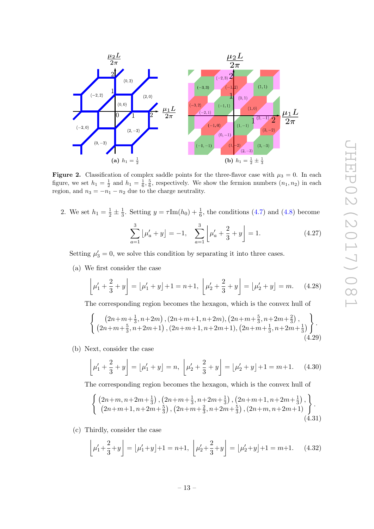<span id="page-13-1"></span><span id="page-13-0"></span>

Figure 2. Classification of complex saddle points for the three-flavor case with  $\mu_3 = 0$ . In each figure, we set  $h_1 = \frac{1}{2}$  and  $h_1 = \frac{1}{6}$ ,  $\frac{5}{6}$ , respectively. We show the fermion numbers  $(n_1, n_2)$  in each region, and  $n_3 = -n_1 - n_2$  due to the charge neutrality.

2. We set  $h_1 = \frac{1}{2} \pm \frac{1}{3}$  $\frac{1}{3}$ . Setting  $y = \tau \text{Im}(h_0) + \frac{1}{6}$ , the conditions [\(4.7\)](#page-9-4) and [\(4.8\)](#page-9-5) become

$$
\sum_{a=1}^{3} \left[ \mu'_a + y \right] = -1, \quad \sum_{a=1}^{3} \left[ \mu'_a + \frac{2}{3} + y \right] = 1. \tag{4.27}
$$

Setting  $\mu'_3 = 0$ , we solve this condition by separating it into three cases.

<span id="page-13-2"></span>(a) We first consider the case

$$
\[\mu_1' + \frac{2}{3} + y\] = \[\mu_1' + y\] + 1 = n + 1, \ \left[\mu_2' + \frac{2}{3} + y\right] = \left[\mu_2' + y\right] = m.\tag{4.28}
$$

The corresponding region becomes the hexagon, which is the convex hull of

$$
\left\{\n\begin{array}{c}\n(2n+m+\frac{1}{3},n+2m), (2n+m+1,n+2m), (2n+m+\frac{5}{3},n+2m+\frac{2}{3}), \\
(2n+m+\frac{5}{3},n+2m+1), (2n+m+1,n+2m+1), (2n+m+\frac{1}{3},n+2m+\frac{1}{3})\n\end{array}\n\right\}.
$$
\n(4.29)

<span id="page-13-3"></span>(b) Next, consider the case

$$
\[\mu_1' + \frac{2}{3} + y\] = \[\mu_1' + y\] = n, \ \left[\mu_2' + \frac{2}{3} + y\right] = \left[\mu_2' + y\right] + 1 = m + 1. \tag{4.30}
$$

The corresponding region becomes the hexagon, which is the convex hull of

$$
\begin{cases}\n\left(2n+m,n+2m+\frac{1}{3}\right),\left(2n+m+\frac{1}{3},n+2m+\frac{1}{3}\right),\left(2n+m+1,n+2m+\frac{1}{3}\right),\\ \n\left(2n+m+1,n+2m+\frac{5}{3}\right),\left(2n+m+\frac{2}{3},n+2m+\frac{5}{3}\right),\left(2n+m,n+2m+1\right)\n\end{cases}.
$$
\n(4.31)

<span id="page-13-4"></span>(c) Thirdly, consider the case

$$
\left\lfloor \mu_1' + \frac{2}{3} + y \right\rfloor = \left\lfloor \mu_1' + y \right\rfloor + 1 = n + 1, \ \left\lfloor \mu_2' + \frac{2}{3} + y \right\rfloor = \left\lfloor \mu_2' + y \right\rfloor + 1 = m + 1. \tag{4.32}
$$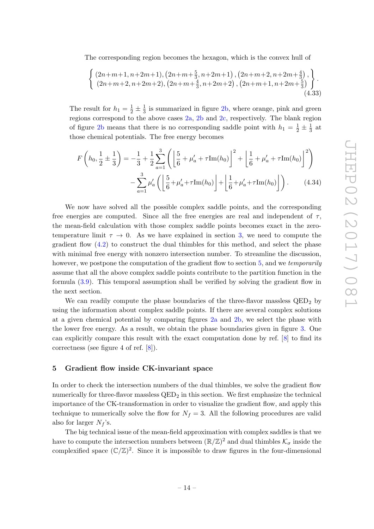The corresponding region becomes the hexagon, which is the convex hull of

$$
\begin{cases}\n(2n+m+1, n+2m+1), (2n+m+\frac{5}{3}, n+2m+1), (2n+m+2, n+2m+\frac{4}{3}), \\
(2n+m+2, n+2m+2), (2n+m+\frac{4}{3}, n+2m+2), (2n+m+1, n+2m+\frac{5}{3})\n\end{cases}.
$$
\n(4.33)

The result for  $h_1 = \frac{1}{2} \pm \frac{1}{3}$  $\frac{1}{3}$  is summarized in figure [2b,](#page-13-1) where orange, pink and green regions correspond to the above cases [2a,](#page-13-2) [2b](#page-13-3) and [2c,](#page-13-4) respectively. The blank region of figure [2b](#page-13-1) means that there is no corresponding saddle point with  $h_1 = \frac{1}{2} \pm \frac{1}{3}$  $rac{1}{3}$  at those chemical potentials. The free energy becomes

$$
F\left(h_0, \frac{1}{2} \pm \frac{1}{3}\right) = -\frac{1}{3} + \frac{1}{2} \sum_{a=1}^{3} \left( \left[\frac{5}{6} + \mu_a' + \tau \text{Im}(h_0)\right]^2 + \left[\frac{1}{6} + \mu_a' + \tau \text{Im}(h_0)\right]^2 \right) - \sum_{a=1}^{3} \mu_a' \left( \left[\frac{5}{6} + \mu_a' + \tau \text{Im}(h_0)\right] + \left[\frac{1}{6} + \mu_a' + \tau \text{Im}(h_0)\right] \right). \tag{4.34}
$$

We now have solved all the possible complex saddle points, and the corresponding free energies are computed. Since all the free energies are real and independent of  $\tau$ , the mean-field calculation with those complex saddle points becomes exact in the zerotemperature limit  $\tau \to 0$ . As we have explained in section [3,](#page-6-0) we need to compute the gradient flow  $(4.2)$  to construct the dual thimbles for this method, and select the phase with minimal free energy with nonzero intersection number. To streamline the discussion, however, we postpone the computation of the gradient flow to section [5,](#page-14-0) and we temporarily assume that all the above complex saddle points contribute to the partition function in the formula [\(3.9\)](#page-7-1). This temporal assumption shall be verified by solving the gradient flow in the next section.

We can readily compute the phase boundaries of the three-flavor massless  $QED<sub>2</sub>$  by using the information about complex saddle points. If there are several complex solutions at a given chemical potential by comparing figures [2a](#page-13-0) and [2b,](#page-13-1) we select the phase with the lower free energy. As a result, we obtain the phase boundaries given in figure [3.](#page-15-0) One can explicitly compare this result with the exact computation done by ref. [\[8\]](#page-19-2) to find its correctness (see figure 4 of ref. [\[8\]](#page-19-2)).

## <span id="page-14-0"></span>5 Gradient flow inside CK-invariant space

In order to check the intersection numbers of the dual thimbles, we solve the gradient flow numerically for three-flavor massless  $QED_2$  in this section. We first emphasize the technical importance of the CK-transformation in order to visualize the gradient flow, and apply this technique to numerically solve the flow for  $N_f = 3$ . All the following procedures are valid also for larger  $N_f$ 's.

The big technical issue of the mean-field approximation with complex saddles is that we have to compute the intersection numbers between  $(\mathbb{R}/\mathbb{Z})^2$  and dual thimbles  $\mathcal{K}_{\sigma}$  inside the complexified space  $(\mathbb{C}/\mathbb{Z})^2$ . Since it is impossible to draw figures in the four-dimensional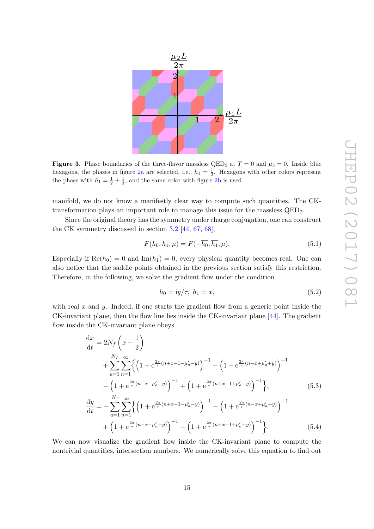<span id="page-15-0"></span>

Figure 3. Phase boundaries of the three-flavor massless QED<sub>2</sub> at  $T = 0$  and  $\mu_3 = 0$ . Inside blue hexagons, the phases in figure [2a](#page-13-0) are selected, i.e.,  $h_1 = \frac{1}{2}$ . Hexagons with other colors represent the phase with  $h_1 = \frac{1}{2} \pm \frac{1}{3}$ , and the same color with figure [2b](#page-13-1) is used.

manifold, we do not know a manifestly clear way to compute such quantities. The CKtransformation plays an important role to manage this issue for the massless  $QED<sub>2</sub>$ .

Since the original theory has the symmetry under charge conjugation, one can construct the CK symmetry discussed in section [3.2](#page-7-0) [\[44,](#page-21-5) [67,](#page-22-6) [68\]](#page-22-10),

$$
\overline{F(h_0, h_1, \mu)} = F(-\overline{h_0}, \overline{h_1}, \mu). \tag{5.1}
$$

Especially if  $\text{Re}(h_0) = 0$  and  $\text{Im}(h_1) = 0$ , every physical quantity becomes real. One can also notice that the saddle points obtained in the previous section satisfy this restriction. Therefore, in the following, we solve the gradient flow under the condition

$$
h_0 = \frac{1}{y/\tau}, \ h_1 = x,\tag{5.2}
$$

with real x and y. Indeed, if one starts the gradient flow from a generic point inside the CK-invariant plane, then the flow line lies inside the CK-invariant plane [\[44\]](#page-21-5). The gradient flow inside the CK-invariant plane obeys

$$
\frac{dx}{dt} = 2N_f \left( x - \frac{1}{2} \right)
$$
\n
$$
+ \sum_{a=1}^{N_f} \sum_{n=1}^{\infty} \left\{ \left( 1 + e^{\frac{2\pi}{\tau} (n+x-1-\mu'_a - y)} \right)^{-1} - \left( 1 + e^{\frac{2\pi}{\tau} (n-x+\mu'_a + y)} \right)^{-1} - \left( 1 + e^{\frac{2\pi}{\tau} (n-x+\mu'_a + y)} \right)^{-1} \right\}, \qquad (5.3)
$$
\n
$$
\frac{dy}{dt} = - \sum_{a=1}^{N_f} \sum_{n=1}^{\infty} \left\{ \left( 1 + e^{\frac{2\pi}{\tau} (n+x-1-\mu'_a - y)} \right)^{-1} - \left( 1 + e^{\frac{2\pi}{\tau} (n-x+\mu'_a + y)} \right)^{-1} + \left( 1 + e^{\frac{2\pi}{\tau} (n-x-\mu'_a - y)} \right)^{-1} - \left( 1 + e^{\frac{2\pi}{\tau} (n+x-1+\mu'_a + y)} \right)^{-1} \right\}.
$$
\n(5.4)

We can now visualize the gradient flow inside the CK-invariant plane to compute the nontrivial quantities, intersection numbers. We numerically solve this equation to find out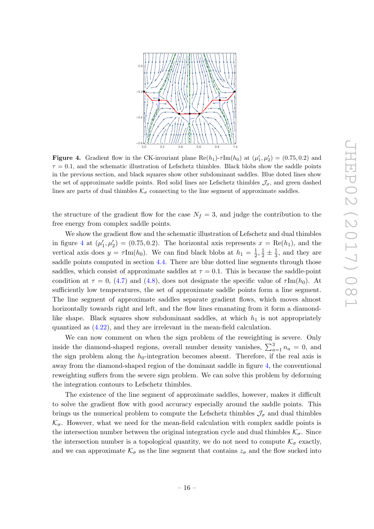<span id="page-16-0"></span>

**Figure 4.** Gradient flow in the CK-invariant plane  $\text{Re}(h_1)$ - $\tau \text{Im}(h_0)$  at  $(\mu'_1, \mu'_2) = (0.75, 0.2)$  and  $\tau = 0.1$ , and the schematic illustration of Lefschetz thimbles. Black blobs show the saddle points in the previous section, and black squares show other subdominant saddles. Blue doted lines show the set of approximate saddle points. Red solid lines are Lefschetz thimbles  $\mathcal{J}_{\sigma}$ , and green dashed lines are parts of dual thimbles  $\mathcal{K}_{\sigma}$  connecting to the line segment of approximate saddles.

the structure of the gradient flow for the case  $N_f = 3$ , and judge the contribution to the free energy from complex saddle points.

We show the gradient flow and the schematic illustration of Lefschetz and dual thimbles in figure [4](#page-16-0) at  $(\mu'_1, \mu'_2) = (0.75, 0.2)$ . The horizontal axis represents  $x = \text{Re}(h_1)$ , and the vertical axis does  $y = \tau \text{Im}(h_0)$ . We can find black blobs at  $h_1 = \frac{1}{2}$  $\frac{1}{2}, \frac{1}{2} \pm \frac{1}{3}$  $\frac{1}{3}$ , and they are saddle points computed in section [4.4.](#page-12-0) There are blue dotted line segments through those saddles, which consist of approximate saddles at  $\tau = 0.1$ . This is because the saddle-point condition at  $\tau = 0$ , [\(4.7\)](#page-9-4) and [\(4.8\)](#page-9-5), does not designate the specific value of  $\tau Im(h_0)$ . At sufficiently low temperatures, the set of approximate saddle points form a line segment. The line segment of approximate saddles separate gradient flows, which moves almost horizontally towards right and left, and the flow lines emanating from it form a diamondlike shape. Black squares show subdominant saddles, at which  $h_1$  is not appropriately quantized as [\(4.22\)](#page-12-3), and they are irrelevant in the mean-field calculation.

We can now comment on when the sign problem of the reweighting is severe. Only inside the diamond-shaped regions, overall number density vanishes,  $\sum_{a=1}^{3} n_a = 0$ , and the sign problem along the  $h_0$ -integration becomes absent. Therefore, if the real axis is away from the diamond-shaped region of the dominant saddle in figure [4,](#page-16-0) the conventional reweighting suffers from the severe sign problem. We can solve this problem by deforming the integration contours to Lefschetz thimbles.

The existence of the line segment of approximate saddles, however, makes it difficult to solve the gradient flow with good accuracy especially around the saddle points. This brings us the numerical problem to compute the Lefschetz thimbles  $\mathcal{J}_{\sigma}$  and dual thimbles  $\mathcal{K}_{\sigma}$ . However, what we need for the mean-field calculation with complex saddle points is the intersection number between the original integration cycle and dual thimbles  $\mathcal{K}_{\sigma}$ . Since the intersection number is a topological quantity, we do not need to compute  $\mathcal{K}_{\sigma}$  exactly, and we can approximate  $\mathcal{K}_{\sigma}$  as the line segment that contains  $z_{\sigma}$  and the flow sucked into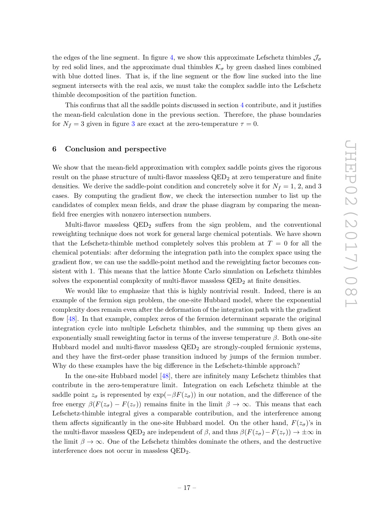the edges of the line segment. In figure [4,](#page-16-0) we show this approximate Lefschetz thimbles  $\mathcal{J}_{\sigma}$ by red solid lines, and the approximate dual thimbles  $\mathcal{K}_{\sigma}$  by green dashed lines combined with blue dotted lines. That is, if the line segment or the flow line sucked into the line segment intersects with the real axis, we must take the complex saddle into the Lefschetz thimble decomposition of the partition function.

This confirms that all the saddle points discussed in section [4](#page-8-0) contribute, and it justifies the mean-field calculation done in the previous section. Therefore, the phase boundaries for  $N_f = 3$  $N_f = 3$  given in figure 3 are exact at the zero-temperature  $\tau = 0$ .

#### <span id="page-17-0"></span>6 Conclusion and perspective

We show that the mean-field approximation with complex saddle points gives the rigorous result on the phase structure of multi-flavor massless  $QED<sub>2</sub>$  at zero temperature and finite densities. We derive the saddle-point condition and concretely solve it for  $N_f = 1, 2$ , and 3 cases. By computing the gradient flow, we check the intersection number to list up the candidates of complex mean fields, and draw the phase diagram by comparing the meanfield free energies with nonzero intersection numbers.

Multi-flavor massless  $QED<sub>2</sub>$  suffers from the sign problem, and the conventional reweighting technique does not work for general large chemical potentials. We have shown that the Lefschetz-thimble method completely solves this problem at  $T = 0$  for all the chemical potentials: after deforming the integration path into the complex space using the gradient flow, we can use the saddle-point method and the reweighting factor becomes consistent with 1. This means that the lattice Monte Carlo simulation on Lefschetz thimbles solves the exponential complexity of multi-flavor massless  $QED<sub>2</sub>$  at finite densities.

We would like to emphasize that this is highly nontrivial result. Indeed, there is an example of the fermion sign problem, the one-site Hubbard model, where the exponential complexity does remain even after the deformation of the integration path with the gradient flow [\[48\]](#page-21-6). In that example, complex zeros of the fermion determinant separate the original integration cycle into multiple Lefschetz thimbles, and the summing up them gives an exponentially small reweighting factor in terms of the inverse temperature  $\beta$ . Both one-site Hubbard model and multi-flavor massless  $QED<sub>2</sub>$  are strongly-coupled fermionic systems, and they have the first-order phase transition induced by jumps of the fermion number. Why do these examples have the big difference in the Lefschetz-thimble approach?

In the one-site Hubbard model [\[48\]](#page-21-6), there are infinitely many Lefschetz thimbles that contribute in the zero-temperature limit. Integration on each Lefschetz thimble at the saddle point  $z_{\sigma}$  is represented by  $\exp(-\beta F(z_{\sigma}))$  in our notation, and the difference of the free energy  $\beta(F(z_{\sigma}) - F(z_{\tau}))$  remains finite in the limit  $\beta \to \infty$ . This means that each Lefschetz-thimble integral gives a comparable contribution, and the interference among them affects significantly in the one-site Hubbard model. On the other hand,  $F(z_{\sigma})$ 's in the multi-flavor massless QED<sub>2</sub> are independent of  $\beta$ , and thus  $\beta(F(z_{\sigma})-F(z_{\tau})) \to \pm \infty$  in the limit  $\beta \to \infty$ . One of the Lefschetz thimbles dominate the others, and the destructive interference does not occur in massless QED2.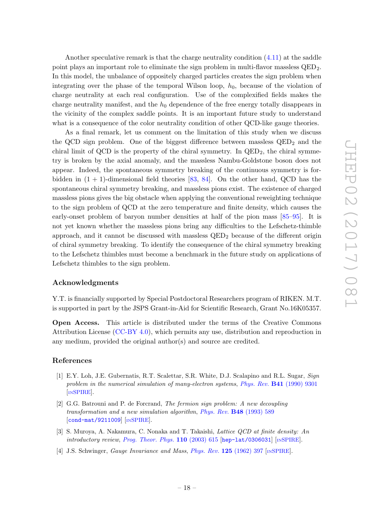Another speculative remark is that the charge neutrality condition [\(4.11\)](#page-10-1) at the saddle point plays an important role to eliminate the sign problem in multi-flavor massless QED2. In this model, the unbalance of oppositely charged particles creates the sign problem when integrating over the phase of the temporal Wilson loop,  $h_0$ , because of the violation of charge neutrality at each real configuration. Use of the complexified fields makes the charge neutrality manifest, and the  $h_0$  dependence of the free energy totally disappears in the vicinity of the complex saddle points. It is an important future study to understand what is a consequence of the color neutrality condition of other QCD-like gauge theories.

As a final remark, let us comment on the limitation of this study when we discuss the QCD sign problem. One of the biggest difference between massless  $QED<sub>2</sub>$  and the chiral limit of QCD is the property of the chiral symmetry. In  $\text{QED}_2$ , the chiral symmetry is broken by the axial anomaly, and the massless Nambu-Goldstone boson does not appear. Indeed, the spontaneous symmetry breaking of the continuous symmetry is forbidden in  $(1 + 1)$ -dimensional field theories [\[83,](#page-23-3) [84\]](#page-23-4). On the other hand, QCD has the spontaneous chiral symmetry breaking, and massless pions exist. The existence of charged massless pions gives the big obstacle when applying the conventional reweighting technique to the sign problem of QCD at the zero temperature and finite density, which causes the early-onset problem of baryon number densities at half of the pion mass [\[85](#page-23-5)[–95\]](#page-23-6). It is not yet known whether the massless pions bring any difficulties to the Lefschetz-thimble approach, and it cannot be discussed with massless  $QED<sub>2</sub>$  because of the different origin of chiral symmetry breaking. To identify the consequence of the chiral symmetry breaking to the Lefschetz thimbles must become a benchmark in the future study on applications of Lefschetz thimbles to the sign problem.

## Acknowledgments

Y.T. is financially supported by Special Postdoctoral Researchers program of RIKEN. M.T. is supported in part by the JSPS Grant-in-Aid for Scientific Research, Grant No.16K05357.

Open Access. This article is distributed under the terms of the Creative Commons Attribution License [\(CC-BY 4.0\)](http://creativecommons.org/licenses/by/4.0/), which permits any use, distribution and reproduction in any medium, provided the original author(s) and source are credited.

#### References

- <span id="page-18-0"></span>[1] E.Y. Loh, J.E. Gubernatis, R.T. Scalettar, S.R. White, D.J. Scalapino and R.L. Sugar, Sign problem in the numerical simulation of many-electron systems, Phys. Rev. **B41** [\(1990\) 9301](http://dx.doi.org/10.1103/PhysRevB.41.9301) [IN[SPIRE](http://inspirehep.net/search?p=find+J+%22Phys.Rev.,B41,9301%22)].
- <span id="page-18-1"></span>[2] G.G. Batrouni and P. de Forcrand, The fermion sign problem: A new decoupling transformation and a new simulation algorithm, [Phys. Rev.](http://dx.doi.org/10.1103/PhysRevB.48.589) B48 (1993) 589 [[cond-mat/9211009](https://arxiv.org/abs/cond-mat/9211009)] [IN[SPIRE](http://inspirehep.net/search?p=find+EPRINT+cond-mat/9211009)].
- <span id="page-18-2"></span>[3] S. Muroya, A. Nakamura, C. Nonaka and T. Takaishi, Lattice QCD at finite density: An introductory review, [Prog. Theor. Phys.](http://dx.doi.org/10.1143/PTP.110.615)  $110$  (2003) 615 [[hep-lat/0306031](https://arxiv.org/abs/hep-lat/0306031)] [IN[SPIRE](http://inspirehep.net/search?p=find+EPRINT+hep-lat/0306031)].
- <span id="page-18-3"></span>[4] J.S. Schwinger, *Gauge Invariance and Mass, [Phys. Rev.](http://dx.doi.org/10.1103/PhysRev.125.397)* **125** (1962) 397 [IN[SPIRE](http://inspirehep.net/search?p=find+J+%22Phys.Rev.,125,397%22)].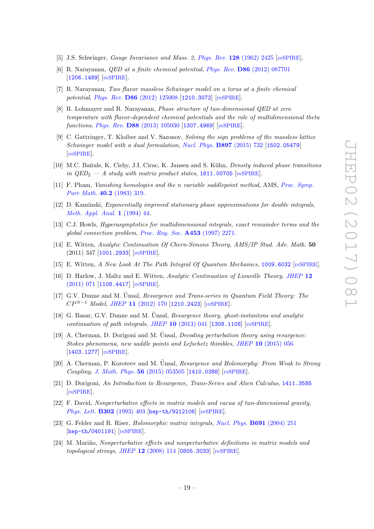- <span id="page-19-0"></span>[5] J.S. Schwinger, Gauge Invariance and Mass. 2, Phys. Rev. 128 [\(1962\) 2425](http://dx.doi.org/10.1103/PhysRev.128.2425) [IN[SPIRE](http://inspirehep.net/search?p=find+J+%22Phys.Rev.,128,2425%22)].
- <span id="page-19-1"></span>[6] R. Narayanan, QED at a finite chemical potential, Phys. Rev. D86 [\(2012\) 087701](http://dx.doi.org/10.1103/PhysRevD.86.087701) [[1206.1489](https://arxiv.org/abs/1206.1489)] [IN[SPIRE](http://inspirehep.net/search?p=find+EPRINT+arXiv:1206.1489)].
- <span id="page-19-10"></span>[7] R. Narayanan, Two flavor massless Schwinger model on a torus at a finite chemical potential, *Phys. Rev.* **D86** [\(2012\) 125008](http://dx.doi.org/10.1103/PhysRevD.86.125008) [[1210.3072](https://arxiv.org/abs/1210.3072)] [IN[SPIRE](http://inspirehep.net/search?p=find+EPRINT+arXiv:1210.3072)].
- <span id="page-19-2"></span>[8] R. Lohmayer and R. Narayanan, Phase structure of two-dimensional QED at zero temperature with flavor-dependent chemical potentials and the role of multidimensional theta functions, *Phys. Rev.* **D88** [\(2013\) 105030](http://dx.doi.org/10.1103/PhysRevD.88.105030) [[1307.4969](https://arxiv.org/abs/1307.4969)] [IN[SPIRE](http://inspirehep.net/search?p=find+EPRINT+arXiv:1307.4969)].
- <span id="page-19-3"></span>[9] C. Gattringer, T. Kloiber and V. Sazonov, Solving the sign problems of the massless lattice Schwinger model with a dual formulation, [Nucl. Phys.](http://dx.doi.org/10.1016/j.nuclphysb.2015.06.017) B897 (2015) 732 [[1502.05479](https://arxiv.org/abs/1502.05479)] [IN[SPIRE](http://inspirehep.net/search?p=find+EPRINT+arXiv:1502.05479)].
- <span id="page-19-4"></span>[10] M.C. Bañuls, K. Cichy, J.I. Cirac, K. Jansen and S. Kühn, *Density induced phase transitions* in  $QED_2$  — A study with matrix product states, [1611.00705](https://arxiv.org/abs/1611.00705) [IN[SPIRE](http://inspirehep.net/search?p=find+EPRINT+arXiv:1611.00705)].
- <span id="page-19-5"></span>[11] F. Pham, Vanishing homologies and the n variable saddlepoint method, AMS, [Proc. Symp.](http://dx.doi.org/10.1090/pspum/040.2) [Pure Math.](http://dx.doi.org/10.1090/pspum/040.2) 40.2 (1983) 319.
- [12] D. Kaminski, Exponentially improved stationary phase approximations for double integrals, [Meth. Appl. Anal.](http://dx.doi.org/10.4310/MAA.1994.v1.n1.a4) 1 (1994) 44.
- <span id="page-19-6"></span>[13] C.J. Howls, Hyperasymptotics for multidimensional integrals, exact remainder terms and the global connection problem, [Proc. Roy. Soc.](http://dx.doi.org/10.1098/rspa.1997.0122) A453 (1997) 2271.
- <span id="page-19-7"></span>[14] E. Witten, Analytic Continuation Of Chern-Simons Theory, AMS/IP Stud. Adv. Math. 50 (2011) 347 [[1001.2933](https://arxiv.org/abs/1001.2933)] [IN[SPIRE](http://inspirehep.net/search?p=find+EPRINT+arXiv:1001.2933)].
- [15] E. Witten, A New Look At The Path Integral Of Quantum Mechanics, [1009.6032](https://arxiv.org/abs/1009.6032) [IN[SPIRE](http://inspirehep.net/search?p=find+EPRINT+arXiv:1009.6032)].
- <span id="page-19-8"></span>[16] D. Harlow, J. Maltz and E. Witten, Analytic Continuation of Liouville Theory, [JHEP](http://dx.doi.org/10.1007/JHEP12(2011)071) 12 [\(2011\) 071](http://dx.doi.org/10.1007/JHEP12(2011)071) [[1108.4417](https://arxiv.org/abs/1108.4417)] [IN[SPIRE](http://inspirehep.net/search?p=find+EPRINT+arXiv:1108.4417)].
- <span id="page-19-9"></span>[17] G.V. Dunne and M. Ünsal, Resurgence and Trans-series in Quantum Field Theory: The  $CP^{N-1}$  Model, JHEP 11 [\(2012\) 170](http://dx.doi.org/10.1007/JHEP11(2012)170) [[1210.2423](https://arxiv.org/abs/1210.2423)] [IN[SPIRE](http://inspirehep.net/search?p=find+EPRINT+arXiv:1210.2423)].
- [18] G. Basar, G.V. Dunne and M. Ünsal, Resurgence theory, ghost-instantons and analytic continuation of path integrals, JHEP  $10$  [\(2013\) 041](http://dx.doi.org/10.1007/JHEP10(2013)041) [[1308.1108](https://arxiv.org/abs/1308.1108)] [IN[SPIRE](http://inspirehep.net/search?p=find+EPRINT+arXiv:1308.1108)].
- $[19]$  A. Cherman, D. Dorigoni and M. Unsal, *Decoding perturbation theory using resurgence:* Stokes phenomena, new saddle points and Lefschetz thimbles, JHEP 10 [\(2015\) 056](http://dx.doi.org/10.1007/JHEP10(2015)056) [[1403.1277](https://arxiv.org/abs/1403.1277)] [IN[SPIRE](http://inspirehep.net/search?p=find+EPRINT+arXiv:1403.1277)].
- [20] A. Cherman, P. Koroteev and M. Ünsal, Resurgence and Holomorphy: From Weak to Strong Coupling, [J. Math. Phys.](http://dx.doi.org/10.1063/1.4921155) 56 (2015) 053505 [[1410.0388](https://arxiv.org/abs/1410.0388)] [IN[SPIRE](http://inspirehep.net/search?p=find+EPRINT+arXiv:1410.0388)].
- [21] D. Dorigoni, An Introduction to Resurgence, Trans-Series and Alien Calculus, [1411.3585](https://arxiv.org/abs/1411.3585) [IN[SPIRE](http://inspirehep.net/search?p=find+EPRINT+arXiv:1411.3585)].
- [22] F. David, Nonperturbative effects in matrix models and vacua of two-dimensional gravity, [Phys. Lett.](http://dx.doi.org/10.1016/0370-2693(93)90417-G) B302 (1993) 403 [[hep-th/9212106](https://arxiv.org/abs/hep-th/9212106)] [IN[SPIRE](http://inspirehep.net/search?p=find+EPRINT+hep-th/9212106)].
- [23] G. Felder and R. Riser, *Holomorphic matrix integrals*, *[Nucl. Phys.](http://dx.doi.org/10.1016/j.nuclphysb.2004.05.010)* **B691** (2004) 251 [[hep-th/0401191](https://arxiv.org/abs/hep-th/0401191)] [IN[SPIRE](http://inspirehep.net/search?p=find+EPRINT+hep-th/0401191)].
- [24] M. Mariño, Nonperturbative effects and nonperturbative definitions in matrix models and  $topological \ strings, JHEP 12 (2008) 114 [0805.3033] [NSPIRE].$  $topological \ strings, JHEP 12 (2008) 114 [0805.3033] [NSPIRE].$  $topological \ strings, JHEP 12 (2008) 114 [0805.3033] [NSPIRE].$  $topological \ strings, JHEP 12 (2008) 114 [0805.3033] [NSPIRE].$  $topological \ strings, JHEP 12 (2008) 114 [0805.3033] [NSPIRE].$  $topological \ strings, JHEP 12 (2008) 114 [0805.3033] [NSPIRE].$  $topological \ strings, JHEP 12 (2008) 114 [0805.3033] [NSPIRE].$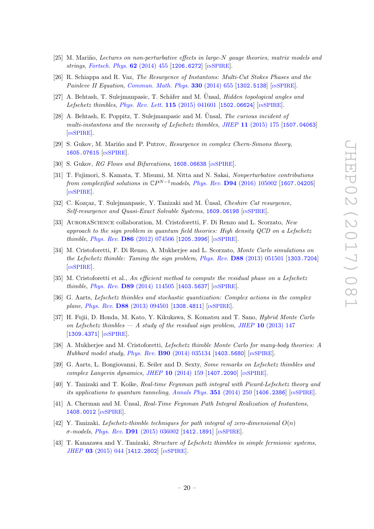- [25] M. Mariño, Lectures on non-perturbative effects in large-N gauge theories, matrix models and strings, [Fortsch. Phys.](http://dx.doi.org/10.1002/prop.201400005) **62** (2014) 455 [[1206.6272](https://arxiv.org/abs/1206.6272)] [IN[SPIRE](http://inspirehep.net/search?p=find+EPRINT+arXiv:1206.6272)].
- [26] R. Schiappa and R. Vaz, The Resurgence of Instantons: Multi-Cut Stokes Phases and the Painleve II Equation, [Commun. Math. Phys.](http://dx.doi.org/10.1007/s00220-014-2028-7) 330 (2014) 655 [[1302.5138](https://arxiv.org/abs/1302.5138)] [IN[SPIRE](http://inspirehep.net/search?p=find+EPRINT+arXiv:1302.5138)].
- [27] A. Behtash, T. Sulejmanpasic, T. Schäfer and M. Unsal, *Hidden topological angles and* Lefschetz thimbles, [Phys. Rev. Lett.](http://dx.doi.org/10.1103/PhysRevLett.115.041601) 115 (2015) 041601 [[1502.06624](https://arxiv.org/abs/1502.06624)] [IN[SPIRE](http://inspirehep.net/search?p=find+EPRINT+arXiv:1502.06624)].
- [28] A. Behtash, E. Poppitz, T. Sulejmanpasic and M. Unsal, The curious incident of multi-instantons and the necessity of Lefschetz thimbles, JHEP 11 [\(2015\) 175](http://dx.doi.org/10.1007/JHEP11(2015)175) [[1507.04063](https://arxiv.org/abs/1507.04063)] [IN[SPIRE](http://inspirehep.net/search?p=find+EPRINT+arXiv:1507.04063)].
- [29] S. Gukov, M. Mariño and P. Putrov, Resurgence in complex Chern-Simons theory, [1605.07615](https://arxiv.org/abs/1605.07615) [IN[SPIRE](http://inspirehep.net/search?p=find+EPRINT+arXiv:1605.07615)].
- [30] S. Gukov, RG Flows and Bifurcations, [1608.06638](https://arxiv.org/abs/1608.06638) [IN[SPIRE](http://inspirehep.net/search?p=find+EPRINT+arXiv:1608.06638)].
- [31] T. Fujimori, S. Kamata, T. Misumi, M. Nitta and N. Sakai, Nonperturbative contributions from complexified solutions in  $\mathbb{C}P^{N-1}$ models, Phys. Rev. **D94** [\(2016\) 105002](http://dx.doi.org/10.1103/PhysRevD.94.105002) [[1607.04205](https://arxiv.org/abs/1607.04205)] [IN[SPIRE](http://inspirehep.net/search?p=find+EPRINT+arXiv:1607.04205)].
- <span id="page-20-0"></span>[32] C. Kozçaz, T. Sulejmanpasic, Y. Tanizaki and M. Ünsal, *Cheshire Cat resurgence*, Self-resurgence and Quasi-Exact Solvable Systems, [1609.06198](https://arxiv.org/abs/1609.06198) [IN[SPIRE](http://inspirehep.net/search?p=find+EPRINT+arXiv:1609.06198)].
- <span id="page-20-1"></span>[33] AuroraScience collaboration, M. Cristoforetti, F. Di Renzo and L. Scorzato, New approach to the sign problem in quantum field theories: High density QCD on a Lefschetz thimble, Phys. Rev. D86 [\(2012\) 074506](http://dx.doi.org/10.1103/PhysRevD.86.074506) [[1205.3996](https://arxiv.org/abs/1205.3996)] [IN[SPIRE](http://inspirehep.net/search?p=find+EPRINT+arXiv:1205.3996)].
- [34] M. Cristoforetti, F. Di Renzo, A. Mukherjee and L. Scorzato, Monte Carlo simulations on the Lefschetz thimble: Taming the sign problem, Phys. Rev. D88 [\(2013\) 051501](http://dx.doi.org/10.1103/PhysRevD.88.051501) [[1303.7204](https://arxiv.org/abs/1303.7204)] [IN[SPIRE](http://inspirehep.net/search?p=find+EPRINT+arXiv:1303.7204)].
- [35] M. Cristoforetti et al., An efficient method to compute the residual phase on a Lefschetz thimble, Phys. Rev. D89 [\(2014\) 114505](http://dx.doi.org/10.1103/PhysRevD.89.114505) [[1403.5637](https://arxiv.org/abs/1403.5637)] [IN[SPIRE](http://inspirehep.net/search?p=find+EPRINT+arXiv:1403.5637)].
- [36] G. Aarts, Lefschetz thimbles and stochastic quantization: Complex actions in the complex plane, Phys. Rev. D88 [\(2013\) 094501](http://dx.doi.org/10.1103/PhysRevD.88.094501) [[1308.4811](https://arxiv.org/abs/1308.4811)] [IN[SPIRE](http://inspirehep.net/search?p=find+EPRINT+arXiv:1308.4811)].
- [37] H. Fujii, D. Honda, M. Kato, Y. Kikukawa, S. Komatsu and T. Sano, Hybrid Monte Carlo on Lefschetz thimbles  $-A$  study of the residual sign problem, JHEP 10 [\(2013\) 147](http://dx.doi.org/10.1007/JHEP10(2013)147) [[1309.4371](https://arxiv.org/abs/1309.4371)] [IN[SPIRE](http://inspirehep.net/search?p=find+EPRINT+arXiv:1309.4371)].
- [38] A. Mukherjee and M. Cristoforetti, Lefschetz thimble Monte Carlo for many-body theories: A Hubbard model study, *Phys. Rev.* **B90** [\(2014\) 035134](http://dx.doi.org/10.1103/PhysRevB.90.035134) [[1403.5680](https://arxiv.org/abs/1403.5680)] [IN[SPIRE](http://inspirehep.net/search?p=find+EPRINT+arXiv:1403.5680)].
- [39] G. Aarts, L. Bongiovanni, E. Seiler and D. Sexty, Some remarks on Lefschetz thimbles and complex Langevin dynamics, JHEP  $10$  [\(2014\) 159](http://dx.doi.org/10.1007/JHEP10(2014)159) [[1407.2090](https://arxiv.org/abs/1407.2090)] [IN[SPIRE](http://inspirehep.net/search?p=find+EPRINT+arXiv:1407.2090)].
- [40] Y. Tanizaki and T. Koike, Real-time Feynman path integral with Picard-Lefschetz theory and its applications to quantum tunneling, [Annals Phys.](http://dx.doi.org/10.1016/j.aop.2014.09.003)  $351$  (2014) 250 [[1406.2386](https://arxiv.org/abs/1406.2386)] [IN[SPIRE](http://inspirehep.net/search?p=find+EPRINT+arXiv:1406.2386)].
- [41] A. Cherman and M. Unsal, Real-Time Feynman Path Integral Realization of Instantons, [1408.0012](https://arxiv.org/abs/1408.0012) [IN[SPIRE](http://inspirehep.net/search?p=find+EPRINT+arXiv:1408.0012)].
- [42] Y. Tanizaki, Lefschetz-thimble techniques for path integral of zero-dimensional  $O(n)$ σ-models, Phys. Rev.  $D91$  [\(2015\) 036002](http://dx.doi.org/10.1103/PhysRevD.91.036002) [[1412.1891](https://arxiv.org/abs/1412.1891)] [IN[SPIRE](http://inspirehep.net/search?p=find+EPRINT+arXiv:1412.1891)].
- [43] T. Kanazawa and Y. Tanizaki, Structure of Lefschetz thimbles in simple fermionic systems, JHEP 03 [\(2015\) 044](http://dx.doi.org/10.1007/JHEP03(2015)044) [[1412.2802](https://arxiv.org/abs/1412.2802)] [IN[SPIRE](http://inspirehep.net/search?p=find+EPRINT+arXiv:1412.2802)].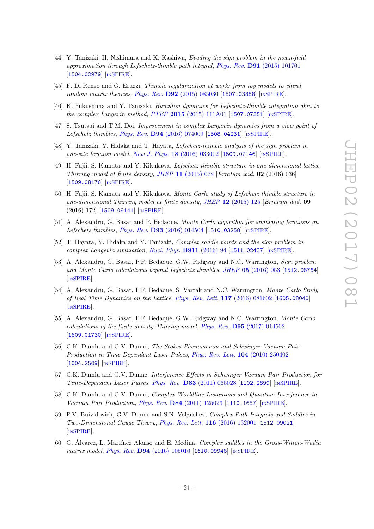- <span id="page-21-5"></span>[44] Y. Tanizaki, H. Nishimura and K. Kashiwa, Evading the sign problem in the mean-field approximation through Lefschetz-thimble path integral, Phys. Rev. D91 [\(2015\) 101701](http://dx.doi.org/10.1103/PhysRevD.91.101701) [[1504.02979](https://arxiv.org/abs/1504.02979)] [IN[SPIRE](http://inspirehep.net/search?p=find+EPRINT+arXiv:1504.02979)].
- [45] F. Di Renzo and G. Eruzzi, Thimble regularization at work: from toy models to chiral random matrix theories,  $Phys.$   $Rev.$   $D92$  [\(2015\) 085030](http://dx.doi.org/10.1103/PhysRevD.92.085030) [[1507.03858](https://arxiv.org/abs/1507.03858)] [IN[SPIRE](http://inspirehep.net/search?p=find+EPRINT+arXiv:1507.03858)].
- [46] K. Fukushima and Y. Tanizaki, Hamilton dynamics for Lefschetz-thimble integration akin to the complex Langevin method, PTEP 2015 [\(2015\) 111A01](http://dx.doi.org/10.1093/ptep/ptv152) [[1507.07351](https://arxiv.org/abs/1507.07351)] [IN[SPIRE](http://inspirehep.net/search?p=find+EPRINT+arXiv:1507.07351)].
- [47] S. Tsutsui and T.M. Doi, Improvement in complex Langevin dynamics from a view point of Lefschetz thimbles, Phys. Rev. D94 [\(2016\) 074009](http://dx.doi.org/10.1103/PhysRevD.94.074009) [[1508.04231](https://arxiv.org/abs/1508.04231)] [IN[SPIRE](http://inspirehep.net/search?p=find+EPRINT+arXiv:1508.04231)].
- <span id="page-21-6"></span>[48] Y. Tanizaki, Y. Hidaka and T. Hayata, Lefschetz-thimble analysis of the sign problem in one-site fermion model, New J. Phys. 18 [\(2016\) 033002](http://dx.doi.org/10.1088/1367-2630/18/3/033002) [[1509.07146](https://arxiv.org/abs/1509.07146)] [IN[SPIRE](http://inspirehep.net/search?p=find+EPRINT+arXiv:1509.07146)].
- [49] H. Fujii, S. Kamata and Y. Kikukawa, Lefschetz thimble structure in one-dimensional lattice Thirring model at finite density, JHEP 11  $(2015)$  078 [Erratum ibid. 02  $(2016)$  036] [[1509.08176](https://arxiv.org/abs/1509.08176)] [IN[SPIRE](http://inspirehep.net/search?p=find+EPRINT+arXiv:1509.08176)].
- [50] H. Fujii, S. Kamata and Y. Kikukawa, Monte Carlo study of Lefschetz thimble structure in one-dimensional Thirring model at finite density, JHEP 12 [\(2015\) 125](http://dx.doi.org/10.1007/JHEP12(2015)125) [Erratum ibid. 09 (2016) 172] [[1509.09141](https://arxiv.org/abs/1509.09141)] [IN[SPIRE](http://inspirehep.net/search?p=find+EPRINT+arXiv:1509.09141)].
- [51] A. Alexandru, G. Basar and P. Bedaque, Monte Carlo algorithm for simulating fermions on Lefschetz thimbles, Phys. Rev. D93 [\(2016\) 014504](http://dx.doi.org/10.1103/PhysRevD.93.014504) [[1510.03258](https://arxiv.org/abs/1510.03258)] [IN[SPIRE](http://inspirehep.net/search?p=find+EPRINT+arXiv:1510.03258)].
- <span id="page-21-7"></span>[52] T. Hayata, Y. Hidaka and Y. Tanizaki, Complex saddle points and the sign problem in complex Langevin simulation, [Nucl. Phys.](http://dx.doi.org/10.1016/j.nuclphysb.2016.07.031) B911 (2016) 94 [[1511.02437](https://arxiv.org/abs/1511.02437)] [IN[SPIRE](http://inspirehep.net/search?p=find+EPRINT+arXiv:1511.02437)].
- [53] A. Alexandru, G. Basar, P.F. Bedaque, G.W. Ridgway and N.C. Warrington, Sign problem and Monte Carlo calculations beyond Lefschetz thimbles, JHEP 05 [\(2016\) 053](http://dx.doi.org/10.1007/JHEP05(2016)053) [[1512.08764](https://arxiv.org/abs/1512.08764)] [IN[SPIRE](http://inspirehep.net/search?p=find+EPRINT+arXiv:1512.08764)].
- [54] A. Alexandru, G. Basar, P.F. Bedaque, S. Vartak and N.C. Warrington, Monte Carlo Study of Real Time Dynamics on the Lattice, [Phys. Rev. Lett.](http://dx.doi.org/10.1103/PhysRevLett.117.081602) 117 (2016) 081602 [[1605.08040](https://arxiv.org/abs/1605.08040)] [IN[SPIRE](http://inspirehep.net/search?p=find+EPRINT+arXiv:1605.08040)].
- <span id="page-21-0"></span>[55] A. Alexandru, G. Basar, P.F. Bedaque, G.W. Ridgway and N.C. Warrington, Monte Carlo calculations of the finite density Thirring model, Phys. Rev. D95 [\(2017\) 014502](http://dx.doi.org/10.1103/PhysRevD.95.014502) [[1609.01730](https://arxiv.org/abs/1609.01730)] [IN[SPIRE](http://inspirehep.net/search?p=find+EPRINT+arXiv:1609.01730)].
- <span id="page-21-1"></span>[56] C.K. Dumlu and G.V. Dunne, The Stokes Phenomenon and Schwinger Vacuum Pair Production in Time-Dependent Laser Pulses, [Phys. Rev. Lett.](http://dx.doi.org/10.1103/PhysRevLett.104.250402) 104 (2010) 250402 [[1004.2509](https://arxiv.org/abs/1004.2509)] [IN[SPIRE](http://inspirehep.net/search?p=find+EPRINT+arXiv:1004.2509)].
- [57] C.K. Dumlu and G.V. Dunne, Interference Effects in Schwinger Vacuum Pair Production for Time-Dependent Laser Pulses, Phys. Rev. D83 [\(2011\) 065028](http://dx.doi.org/10.1103/PhysRevD.83.065028) [[1102.2899](https://arxiv.org/abs/1102.2899)] [IN[SPIRE](http://inspirehep.net/search?p=find+EPRINT+arXiv:1102.2899)].
- <span id="page-21-2"></span>[58] C.K. Dumlu and G.V. Dunne, Complex Worldline Instantons and Quantum Interference in Vacuum Pair Production, Phys. Rev.  $D84$  [\(2011\) 125023](http://dx.doi.org/10.1103/PhysRevD.84.125023) [[1110.1657](https://arxiv.org/abs/1110.1657)] [IN[SPIRE](http://inspirehep.net/search?p=find+EPRINT+arXiv:1110.1657)].
- <span id="page-21-3"></span>[59] P.V. Buividovich, G.V. Dunne and S.N. Valgushev, Complex Path Integrals and Saddles in Two-Dimensional Gauge Theory, [Phys. Rev. Lett.](http://dx.doi.org/10.1103/PhysRevLett.116.132001) 116 (2016) 132001 [[1512.09021](https://arxiv.org/abs/1512.09021)] [IN[SPIRE](http://inspirehep.net/search?p=find+EPRINT+arXiv:1512.09021)].
- <span id="page-21-4"></span>[60] G. Álvarez, L. Martínez Alonso and E. Medina, *Complex saddles in the Gross-Witten-Wadia* matrix model, *Phys. Rev.* **D94** [\(2016\) 105010](http://dx.doi.org/10.1103/PhysRevD.94.105010) [[1610.09948](https://arxiv.org/abs/1610.09948)] [IN[SPIRE](http://inspirehep.net/search?p=find+EPRINT+arXiv:1610.09948)].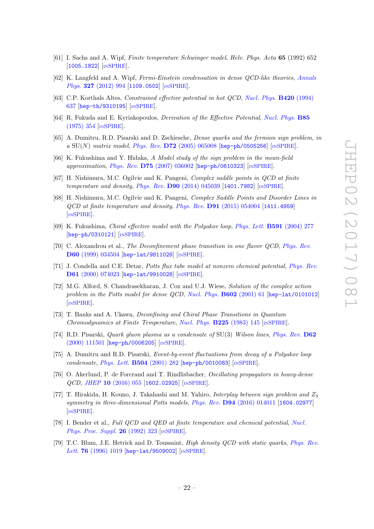- <span id="page-22-0"></span>[61] I. Sachs and A. Wipf, Finite temperature Schwinger model, Helv. Phys. Acta 65 (1992) 652 [[1005.1822](https://arxiv.org/abs/1005.1822)] [IN[SPIRE](http://inspirehep.net/search?p=find+EPRINT+arXiv:1005.1822)].
- <span id="page-22-1"></span>[62] K. Langfeld and A. Wipf, Fermi-Einstein condensation in dense QCD-like theories, [Annals](http://dx.doi.org/10.1016/j.aop.2011.11.020) Phys. 327 [\(2012\) 994](http://dx.doi.org/10.1016/j.aop.2011.11.020) [[1109.0502](https://arxiv.org/abs/1109.0502)] [IN[SPIRE](http://inspirehep.net/search?p=find+EPRINT+arXiv:1109.0502)].
- <span id="page-22-2"></span>[63] C.P. Korthals Altes, Constrained effective potential in hot QCD, [Nucl. Phys.](http://dx.doi.org/10.1016/0550-3213(94)90081-7) B420 (1994) [637](http://dx.doi.org/10.1016/0550-3213(94)90081-7) [[hep-th/9310195](https://arxiv.org/abs/hep-th/9310195)] [IN[SPIRE](http://inspirehep.net/search?p=find+EPRINT+hep-th/9310195)].
- <span id="page-22-3"></span>[64] R. Fukuda and E. Kyriakopoulos, Derivation of the Effective Potential, [Nucl. Phys.](http://dx.doi.org/10.1016/0550-3213(75)90014-0) B85 [\(1975\) 354](http://dx.doi.org/10.1016/0550-3213(75)90014-0) [IN[SPIRE](http://inspirehep.net/search?p=find+J+%22Nucl.Phys.,B85,354%22)].
- <span id="page-22-4"></span>[65] A. Dumitru, R.D. Pisarski and D. Zschiesche, Dense quarks and the fermion sign problem, in a  $\text{SU}(N)$  matrix model, Phys. Rev. D72 [\(2005\) 065008](http://dx.doi.org/10.1103/PhysRevD.72.065008) [[hep-ph/0505256](https://arxiv.org/abs/hep-ph/0505256)] [IN[SPIRE](http://inspirehep.net/search?p=find+EPRINT+hep-ph/0505256)].
- <span id="page-22-5"></span>[66] K. Fukushima and Y. Hidaka, A Model study of the sign problem in the mean-field approximation, Phys. Rev. D75 [\(2007\) 036002](http://dx.doi.org/10.1103/PhysRevD.75.036002) [[hep-ph/0610323](https://arxiv.org/abs/hep-ph/0610323)] [IN[SPIRE](http://inspirehep.net/search?p=find+EPRINT+hep-ph/0610323)].
- <span id="page-22-6"></span>[67] H. Nishimura, M.C. Ogilvie and K. Pangeni, Complex saddle points in QCD at finite temperature and density, Phys. Rev.  $D90 (2014) 045039$  $D90 (2014) 045039$  [[1401.7982](https://arxiv.org/abs/1401.7982)] [IN[SPIRE](http://inspirehep.net/search?p=find+EPRINT+arXiv:1401.7982)].
- <span id="page-22-10"></span>[68] H. Nishimura, M.C. Ogilvie and K. Pangeni, Complex Saddle Points and Disorder Lines in QCD at finite temperature and density, Phys. Rev. D91 [\(2015\) 054004](http://dx.doi.org/10.1103/PhysRevD.91.054004) [[1411.4959](https://arxiv.org/abs/1411.4959)] [IN[SPIRE](http://inspirehep.net/search?p=find+EPRINT+arXiv:1411.4959)].
- <span id="page-22-7"></span>[69] K. Fukushima, Chiral effective model with the Polyakov loop, [Phys. Lett.](http://dx.doi.org/10.1016/j.physletb.2004.04.027) B591 (2004) 277 [[hep-ph/0310121](https://arxiv.org/abs/hep-ph/0310121)] [IN[SPIRE](http://inspirehep.net/search?p=find+EPRINT+hep-ph/0310121)].
- <span id="page-22-8"></span>[70] C. Alexandrou et al., The Deconfinement phase transition in one flavor QCD, [Phys. Rev.](http://dx.doi.org/10.1103/PhysRevD.60.034504) D60 [\(1999\) 034504](http://dx.doi.org/10.1103/PhysRevD.60.034504) [[hep-lat/9811028](https://arxiv.org/abs/hep-lat/9811028)] [IN[SPIRE](http://inspirehep.net/search?p=find+EPRINT+hep-lat/9811028)].
- [71] J. Condella and C.E. Detar, Potts flux tube model at nonzero chemical potential, [Phys. Rev.](http://dx.doi.org/10.1103/PhysRevD.61.074023) D61 [\(2000\) 074023](http://dx.doi.org/10.1103/PhysRevD.61.074023) [[hep-lat/9910028](https://arxiv.org/abs/hep-lat/9910028)] [IN[SPIRE](http://inspirehep.net/search?p=find+EPRINT+hep-lat/9910028)].
- [72] M.G. Alford, S. Chandrasekharan, J. Cox and U.J. Wiese, Solution of the complex action problem in the Potts model for dense QCD, [Nucl. Phys.](http://dx.doi.org/10.1016/S0550-3213(01)00068-2) **B602** (2001) 61 [[hep-lat/0101012](https://arxiv.org/abs/hep-lat/0101012)] [IN[SPIRE](http://inspirehep.net/search?p=find+EPRINT+hep-lat/0101012)].
- [73] T. Banks and A. Ukawa, Deconfining and Chiral Phase Transitions in Quantum Chromodynamics at Finite Temperature, [Nucl. Phys.](http://dx.doi.org/10.1016/0550-3213(83)90016-0)  $B225$  (1983) 145 [IN[SPIRE](http://inspirehep.net/search?p=find+J+%22Nucl.Phys.,B225,145%22)].
- [74] R.D. Pisarski, *Quark gluon plasma as a condensate of* SU(3) Wilson lines, *[Phys. Rev.](http://dx.doi.org/10.1103/PhysRevD.62.111501)* **D62** [\(2000\) 111501](http://dx.doi.org/10.1103/PhysRevD.62.111501) [[hep-ph/0006205](https://arxiv.org/abs/hep-ph/0006205)] [IN[SPIRE](http://inspirehep.net/search?p=find+EPRINT+hep-ph/0006205)].
- [75] A. Dumitru and R.D. Pisarski, Event-by-event fluctuations from decay of a Polyakov loop condensate, [Phys. Lett.](http://dx.doi.org/10.1016/S0370-2693(01)00286-6) B504 (2001) 282 [[hep-ph/0010083](https://arxiv.org/abs/hep-ph/0010083)] [IN[SPIRE](http://inspirehep.net/search?p=find+EPRINT+hep-ph/0010083)].
- [76] O. Akerlund, P. de Forcrand and T. Rindlisbacher, Oscillating propagators in heavy-dense QCD, JHEP 10 [\(2016\) 055](http://dx.doi.org/10.1007/JHEP10(2016)055) [[1602.02925](https://arxiv.org/abs/1602.02925)] [IN[SPIRE](http://inspirehep.net/search?p=find+EPRINT+arXiv:1602.02925)].
- [77] T. Hirakida, H. Kouno, J. Takahashi and M. Yahiro, Interplay between sign problem and  $Z_3$ symmetry in three-dimensional Potts models, Phys. Rev. D94 [\(2016\) 014011](http://dx.doi.org/10.1103/PhysRevD.94.014011) [[1604.02977](https://arxiv.org/abs/1604.02977)] [IN[SPIRE](http://inspirehep.net/search?p=find+EPRINT+arXiv:1604.02977)].
- [78] I. Bender et al., Full QCD and QED at finite temperature and chemical potential, [Nucl.](http://dx.doi.org/10.1016/0920-5632(92)90265-T) [Phys. Proc. Suppl.](http://dx.doi.org/10.1016/0920-5632(92)90265-T) 26 (1992) 323 [IN[SPIRE](http://inspirehep.net/search?p=find+J+%22Nucl.Phys.Proc.Suppl.,26,323%22)].
- <span id="page-22-9"></span>[79] T.C. Blum, J.E. Hetrick and D. Toussaint, High density QCD with static quarks, [Phys. Rev.](http://dx.doi.org/10.1103/PhysRevLett.76.1019) Lett. **76** [\(1996\) 1019](http://dx.doi.org/10.1103/PhysRevLett.76.1019) [[hep-lat/9509002](https://arxiv.org/abs/hep-lat/9509002)]  $\text{lnSPIRE}$  $\text{lnSPIRE}$  $\text{lnSPIRE}$ .